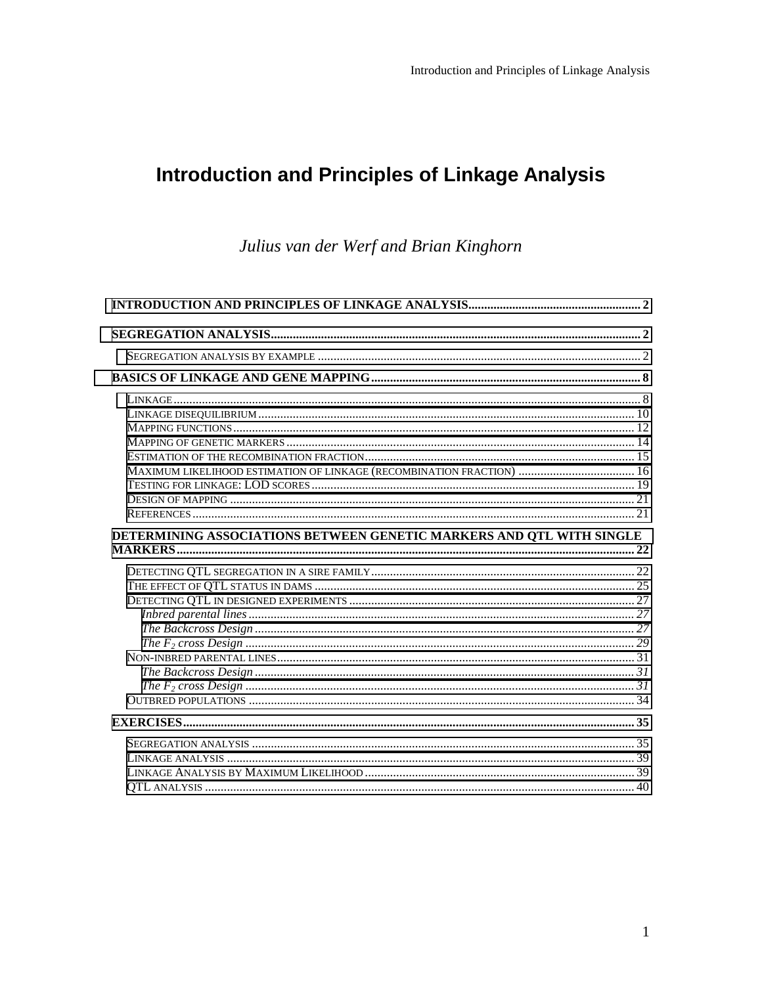# **Introduction and Principles of Linkage Analysis**

Julius van der Werf and Brian Kinghorn

| MAXIMUM LIKELIHOOD ESTIMATION OF LINKAGE (RECOMBINATION FRACTION)  16 |  |
|-----------------------------------------------------------------------|--|
|                                                                       |  |
|                                                                       |  |
|                                                                       |  |
| DETERMINING ASSOCIATIONS BETWEEN GENETIC MARKERS AND QTL WITH SINGLE  |  |
|                                                                       |  |
|                                                                       |  |
|                                                                       |  |
|                                                                       |  |
|                                                                       |  |
|                                                                       |  |
|                                                                       |  |
|                                                                       |  |
|                                                                       |  |
|                                                                       |  |
|                                                                       |  |
|                                                                       |  |
|                                                                       |  |
|                                                                       |  |
|                                                                       |  |
|                                                                       |  |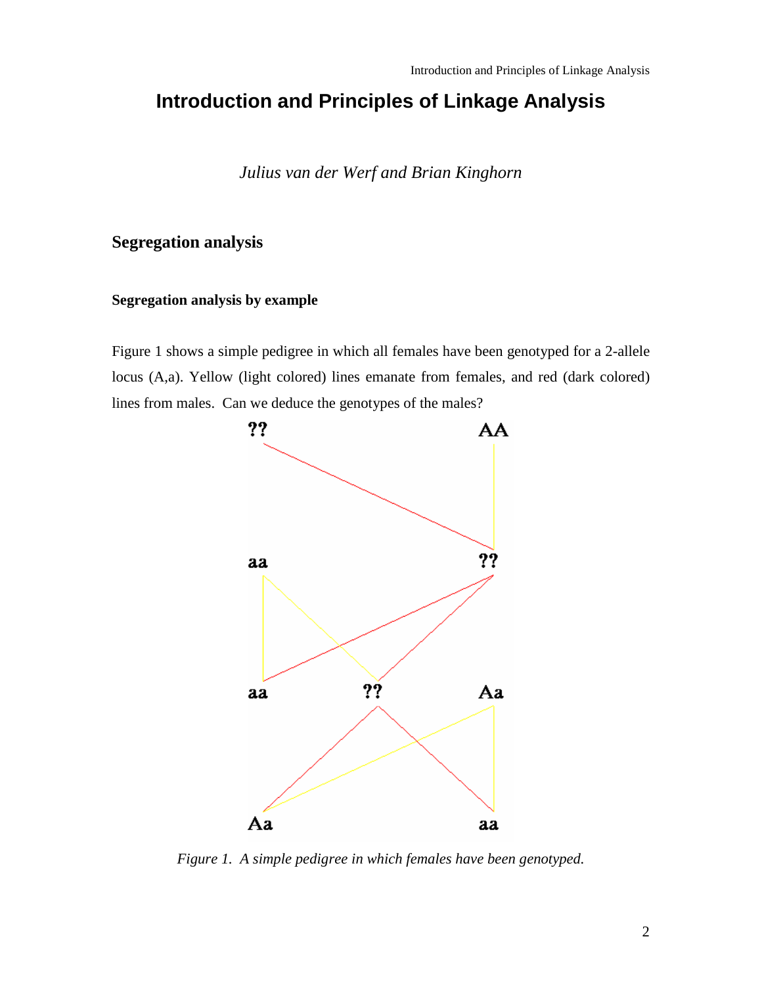# <span id="page-1-0"></span>**Introduction and Principles of Linkage Analysis**

*Julius van der Werf and Brian Kinghorn* 

## **Segregation analysis**

## **Segregation analysis by example**

Figure 1 shows a simple pedigree in which all females have been genotyped for a 2-allele locus (A,a). Yellow (light colored) lines emanate from females, and red (dark colored) lines from males. Can we deduce the genotypes of the males?



*Figure 1. A simple pedigree in which females have been genotyped.*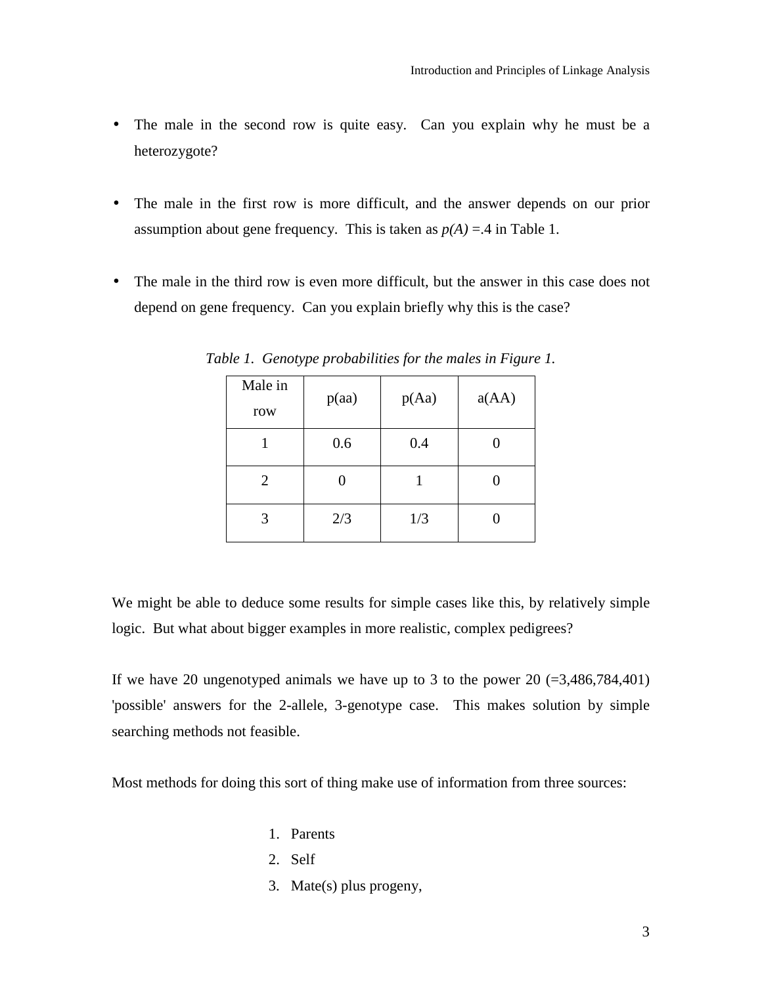- The male in the second row is quite easy. Can you explain why he must be a heterozygote?
- The male in the first row is more difficult, and the answer depends on our prior assumption about gene frequency. This is taken as  $p(A) = 0.4$  in Table 1.
- The male in the third row is even more difficult, but the answer in this case does not depend on gene frequency. Can you explain briefly why this is the case?

| Male in<br>row | p(aa) | p(Aa) | a(AA) |
|----------------|-------|-------|-------|
|                | 0.6   | 0.4   |       |
| $\overline{2}$ | 0     |       |       |
| 3              | 2/3   | 1/3   |       |

*Table 1. Genotype probabilities for the males in Figure 1.* 

We might be able to deduce some results for simple cases like this, by relatively simple logic. But what about bigger examples in more realistic, complex pedigrees?

If we have 20 ungenotyped animals we have up to 3 to the power 20  $(=3,486,784,401)$ 'possible' answers for the 2-allele, 3-genotype case. This makes solution by simple searching methods not feasible.

Most methods for doing this sort of thing make use of information from three sources:

- 1. Parents
- 2. Self
- 3. Mate(s) plus progeny,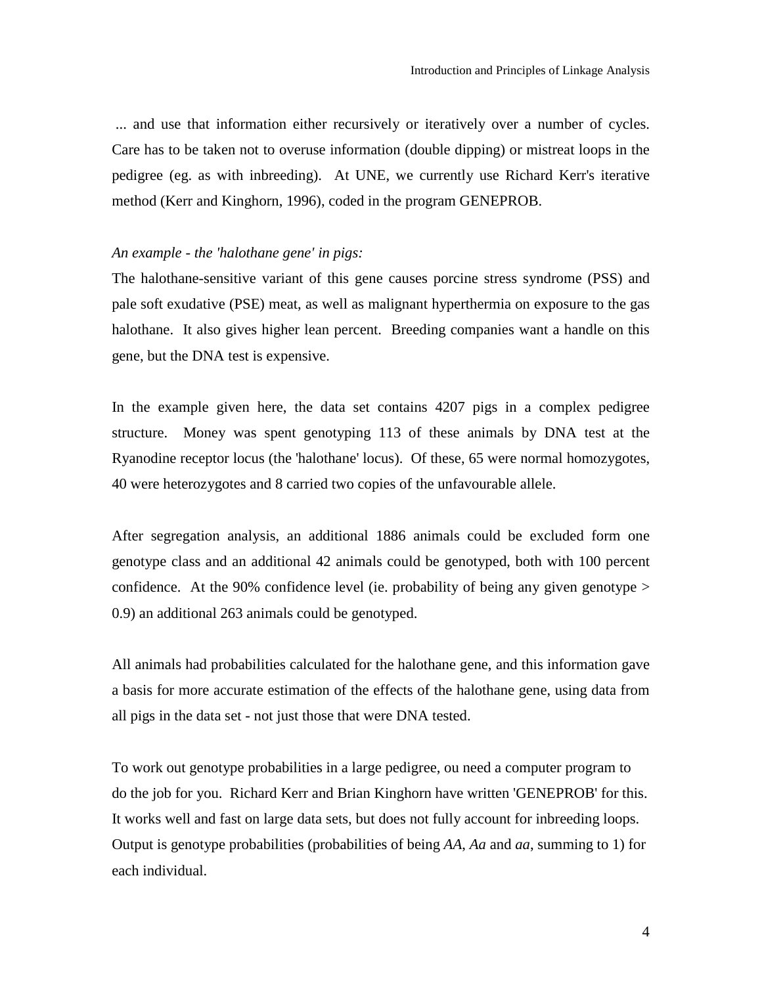... and use that information either recursively or iteratively over a number of cycles. Care has to be taken not to overuse information (double dipping) or mistreat loops in the pedigree (eg. as with inbreeding). At UNE, we currently use Richard Kerr's iterative method (Kerr and Kinghorn, 1996), coded in the program GENEPROB.

## *An example - the 'halothane gene' in pigs:*

The halothane-sensitive variant of this gene causes porcine stress syndrome (PSS) and pale soft exudative (PSE) meat, as well as malignant hyperthermia on exposure to the gas halothane. It also gives higher lean percent. Breeding companies want a handle on this gene, but the DNA test is expensive.

In the example given here, the data set contains 4207 pigs in a complex pedigree structure. Money was spent genotyping 113 of these animals by DNA test at the Ryanodine receptor locus (the 'halothane' locus). Of these, 65 were normal homozygotes, 40 were heterozygotes and 8 carried two copies of the unfavourable allele.

After segregation analysis, an additional 1886 animals could be excluded form one genotype class and an additional 42 animals could be genotyped, both with 100 percent confidence. At the 90% confidence level (ie. probability of being any given genotype > 0.9) an additional 263 animals could be genotyped.

All animals had probabilities calculated for the halothane gene, and this information gave a basis for more accurate estimation of the effects of the halothane gene, using data from all pigs in the data set - not just those that were DNA tested.

To work out genotype probabilities in a large pedigree, ou need a computer program to do the job for you. Richard Kerr and Brian Kinghorn have written 'GENEPROB' for this. It works well and fast on large data sets, but does not fully account for inbreeding loops. Output is genotype probabilities (probabilities of being *AA*, *Aa* and *aa*, summing to 1) for each individual.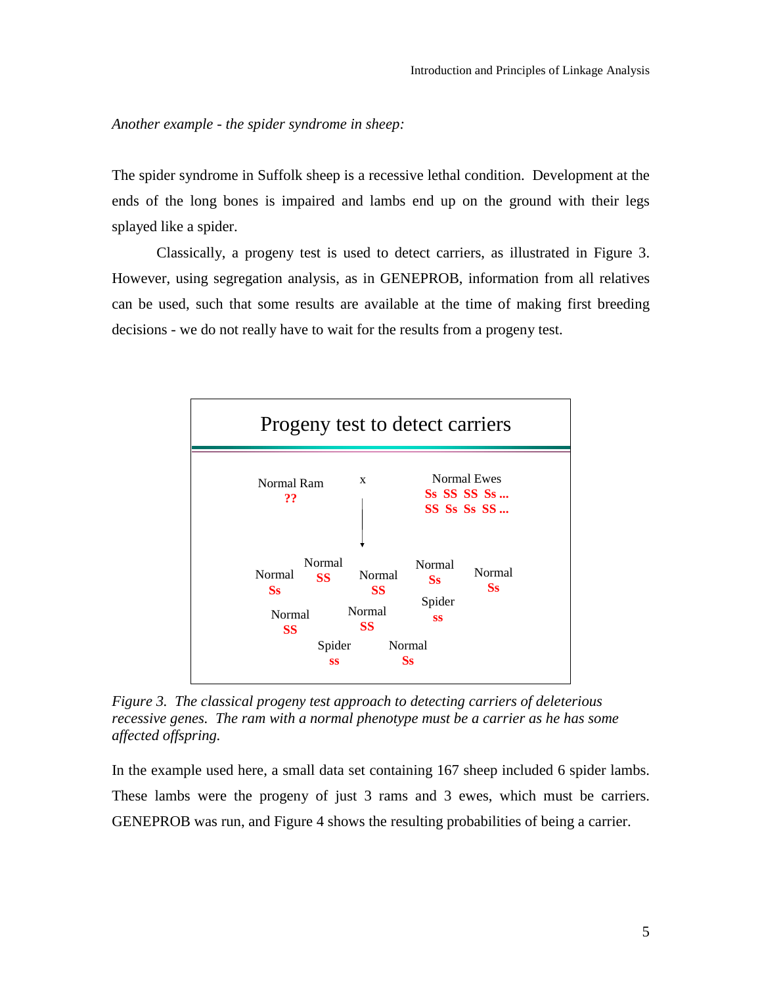*Another example - the spider syndrome in sheep:* 

The spider syndrome in Suffolk sheep is a recessive lethal condition. Development at the ends of the long bones is impaired and lambs end up on the ground with their legs splayed like a spider.

Classically, a progeny test is used to detect carriers, as illustrated in Figure 3. However, using segregation analysis, as in GENEPROB, information from all relatives can be used, such that some results are available at the time of making first breeding decisions - we do not really have to wait for the results from a progeny test.



*Figure 3. The classical progeny test approach to detecting carriers of deleterious recessive genes. The ram with a normal phenotype must be a carrier as he has some affected offspring.* 

In the example used here, a small data set containing 167 sheep included 6 spider lambs. These lambs were the progeny of just 3 rams and 3 ewes, which must be carriers. GENEPROB was run, and Figure 4 shows the resulting probabilities of being a carrier.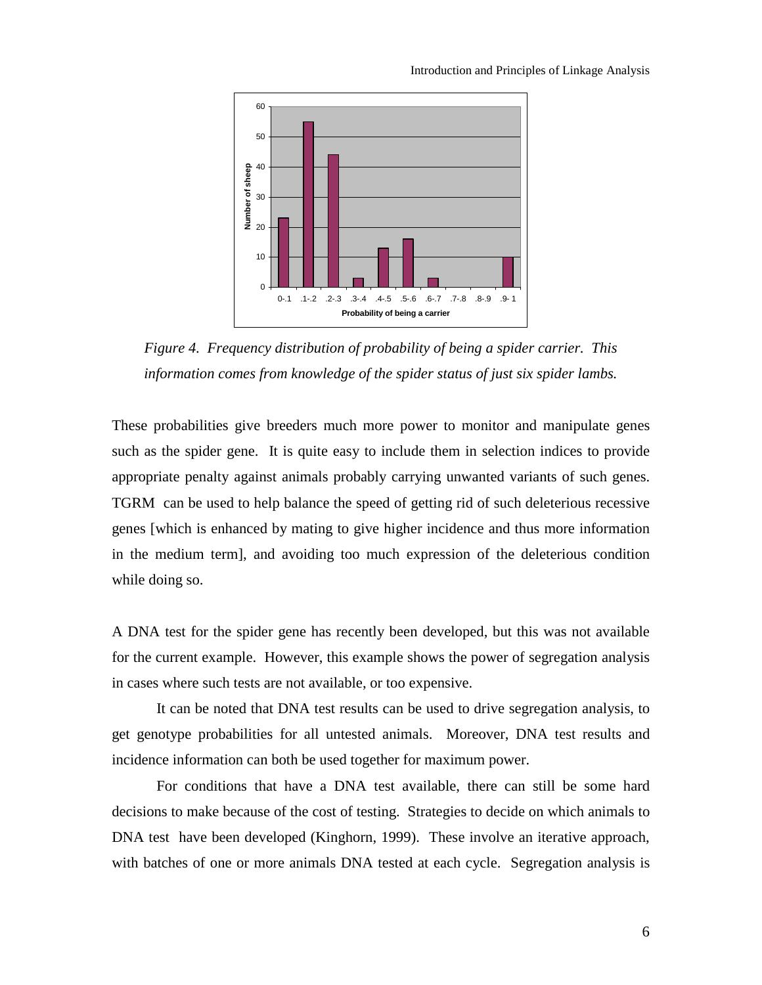

*Figure 4. Frequency distribution of probability of being a spider carrier. This information comes from knowledge of the spider status of just six spider lambs.* 

These probabilities give breeders much more power to monitor and manipulate genes such as the spider gene. It is quite easy to include them in selection indices to provide appropriate penalty against animals probably carrying unwanted variants of such genes. TGRM can be used to help balance the speed of getting rid of such deleterious recessive genes [which is enhanced by mating to give higher incidence and thus more information in the medium term], and avoiding too much expression of the deleterious condition while doing so.

A DNA test for the spider gene has recently been developed, but this was not available for the current example. However, this example shows the power of segregation analysis in cases where such tests are not available, or too expensive.

It can be noted that DNA test results can be used to drive segregation analysis, to get genotype probabilities for all untested animals. Moreover, DNA test results and incidence information can both be used together for maximum power.

For conditions that have a DNA test available, there can still be some hard decisions to make because of the cost of testing. Strategies to decide on which animals to DNA test have been developed (Kinghorn, 1999). These involve an iterative approach, with batches of one or more animals DNA tested at each cycle. Segregation analysis is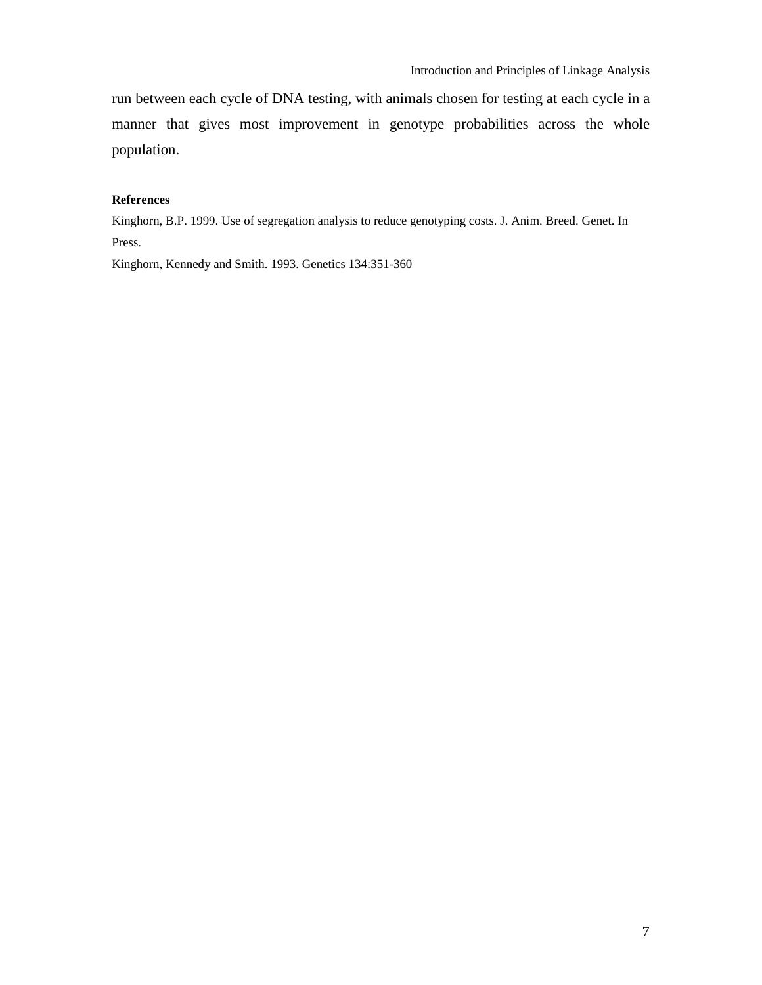run between each cycle of DNA testing, with animals chosen for testing at each cycle in a manner that gives most improvement in genotype probabilities across the whole population.

#### **References**

Kinghorn, B.P. 1999. Use of segregation analysis to reduce genotyping costs. J. Anim. Breed. Genet. In Press.

Kinghorn, Kennedy and Smith. 1993. Genetics 134:351-360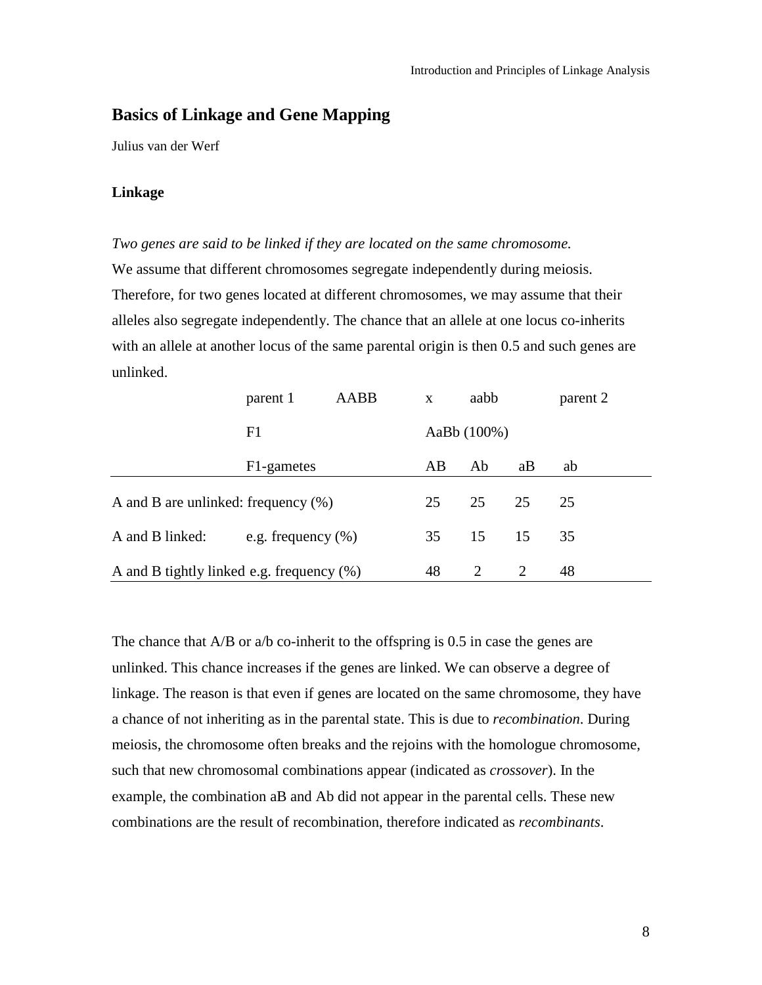# <span id="page-7-0"></span>**Basics of Linkage and Gene Mapping**

Julius van der Werf

## **Linkage**

*Two genes are said to be linked if they are located on the same chromosome.*  We assume that different chromosomes segregate independently during meiosis. Therefore, for two genes located at different chromosomes, we may assume that their alleles also segregate independently. The chance that an allele at one locus co-inherits with an allele at another locus of the same parental origin is then 0.5 and such genes are unlinked.

|                                              | parent 1              | AABB | $\mathbf{x}$ | aabb        |    | parent 2 |
|----------------------------------------------|-----------------------|------|--------------|-------------|----|----------|
|                                              | F1                    |      |              | AaBb (100%) |    |          |
|                                              | F1-gametes            |      | AB           | Ab          | aB | ab       |
| A and B are unlinked: frequency $(\%)$       |                       |      | 25           | 25          | 25 | 25       |
| A and B linked:                              | e.g. frequency $(\%)$ |      | 35           | 15          | 15 | 35       |
| A and B tightly linked e.g. frequency $(\%)$ |                       |      | 48           | 2           | 2  | 48       |

The chance that A/B or a/b co-inherit to the offspring is 0.5 in case the genes are unlinked. This chance increases if the genes are linked. We can observe a degree of linkage. The reason is that even if genes are located on the same chromosome, they have a chance of not inheriting as in the parental state. This is due to *recombination*. During meiosis, the chromosome often breaks and the rejoins with the homologue chromosome, such that new chromosomal combinations appear (indicated as *crossover*). In the example, the combination aB and Ab did not appear in the parental cells. These new combinations are the result of recombination, therefore indicated as *recombinants*.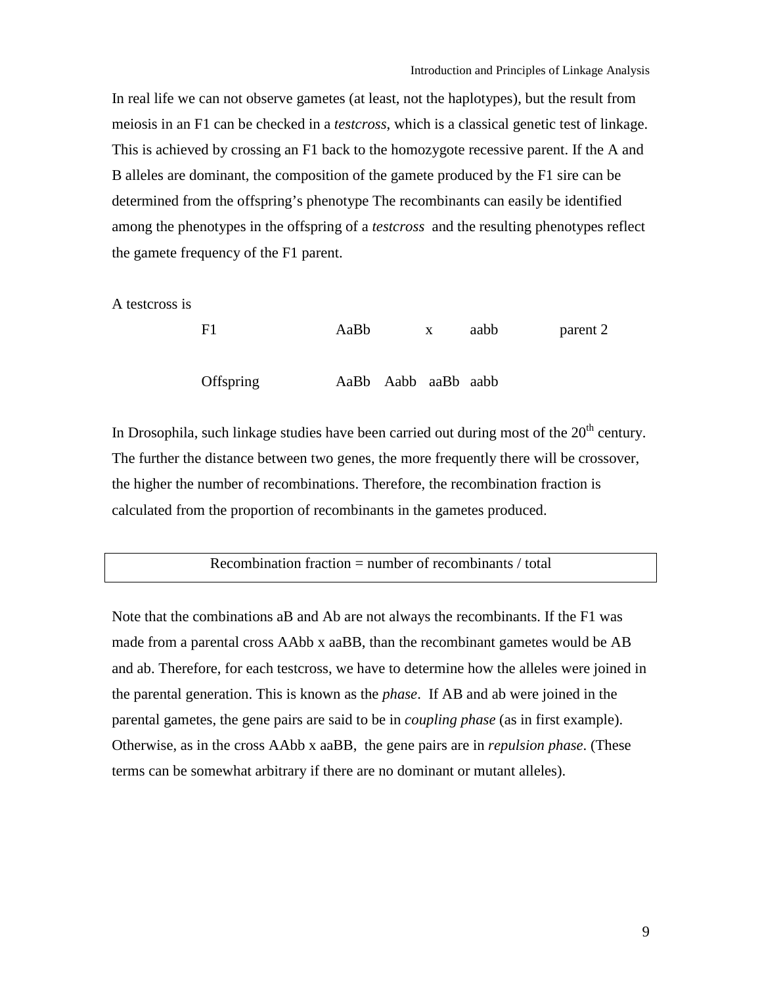In real life we can not observe gametes (at least, not the haplotypes), but the result from meiosis in an F1 can be checked in a *testcross*, which is a classical genetic test of linkage. This is achieved by crossing an F1 back to the homozygote recessive parent. If the A and B alleles are dominant, the composition of the gamete produced by the F1 sire can be determined from the offspring's phenotype The recombinants can easily be identified among the phenotypes in the offspring of a *testcross* and the resulting phenotypes reflect the gamete frequency of the F1 parent.

A testcross is

| F1        | AaBb                | $\mathbf{x}$ | aabb | parent 2 |
|-----------|---------------------|--------------|------|----------|
| Offspring | AaBb Aabb aaBb aabb |              |      |          |

In Drosophila, such linkage studies have been carried out during most of the  $20<sup>th</sup>$  century. The further the distance between two genes, the more frequently there will be crossover, the higher the number of recombinations. Therefore, the recombination fraction is calculated from the proportion of recombinants in the gametes produced.

## Recombination fraction  $=$  number of recombinants / total

Note that the combinations aB and Ab are not always the recombinants. If the F1 was made from a parental cross AAbb x aaBB, than the recombinant gametes would be AB and ab. Therefore, for each testcross, we have to determine how the alleles were joined in the parental generation. This is known as the *phase*. If AB and ab were joined in the parental gametes, the gene pairs are said to be in *coupling phase* (as in first example). Otherwise, as in the cross AAbb x aaBB, the gene pairs are in *repulsion phase*. (These terms can be somewhat arbitrary if there are no dominant or mutant alleles).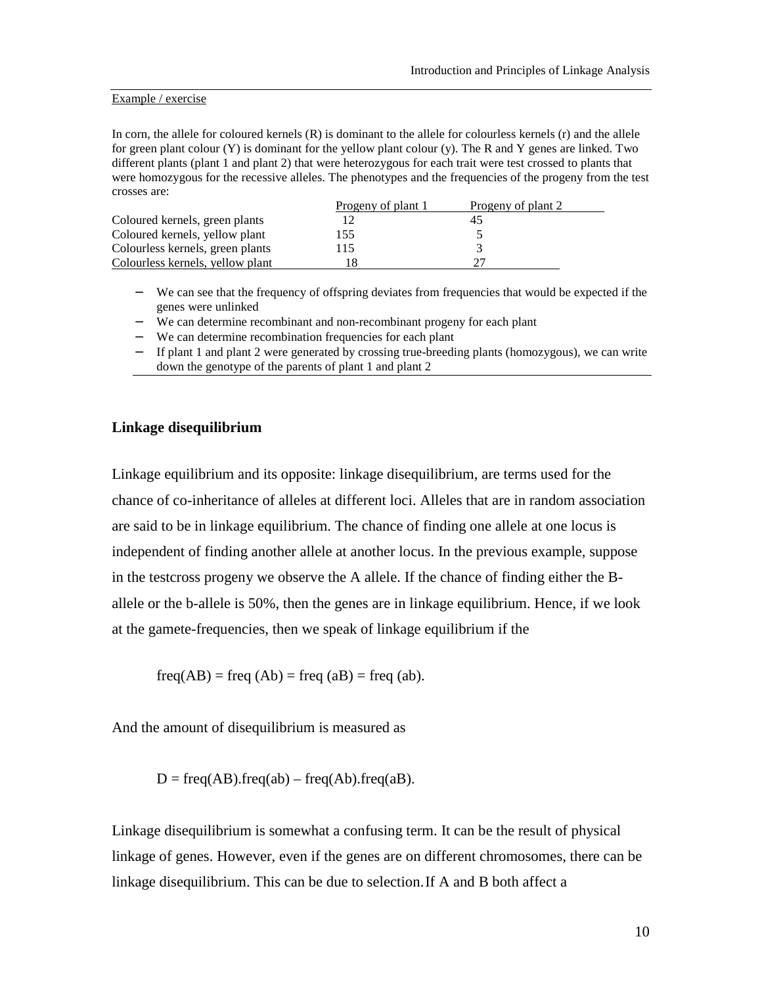#### <span id="page-9-0"></span>Example / exercise

In corn, the allele for coloured kernels (R) is dominant to the allele for colourless kernels (r) and the allele for green plant colour (Y) is dominant for the yellow plant colour (y). The R and Y genes are linked. Two different plants (plant 1 and plant 2) that were heterozygous for each trait were test crossed to plants that were homozygous for the recessive alleles. The phenotypes and the frequencies of the progeny from the test crosses are:

|                                  | Progeny of plant 1 | Progeny of plant 2 |
|----------------------------------|--------------------|--------------------|
| Coloured kernels, green plants   |                    |                    |
| Coloured kernels, yellow plant   | 155                |                    |
| Colourless kernels, green plants | 15                 |                    |
| Colourless kernels, yellow plant |                    |                    |

- − We can see that the frequency of offspring deviates from frequencies that would be expected if the genes were unlinked
- − We can determine recombinant and non-recombinant progeny for each plant
- − We can determine recombination frequencies for each plant
- − If plant 1 and plant 2 were generated by crossing true-breeding plants (homozygous), we can write down the genotype of the parents of plant 1 and plant 2

#### **Linkage disequilibrium**

Linkage equilibrium and its opposite: linkage disequilibrium, are terms used for the chance of co-inheritance of alleles at different loci. Alleles that are in random association are said to be in linkage equilibrium. The chance of finding one allele at one locus is independent of finding another allele at another locus. In the previous example, suppose in the testcross progeny we observe the A allele. If the chance of finding either the Ballele or the b-allele is 50%, then the genes are in linkage equilibrium. Hence, if we look at the gamete-frequencies, then we speak of linkage equilibrium if the

 $freq(AB) = freq (Ab) = freq (aB) = freq (ab).$ 

And the amount of disequilibrium is measured as

 $D = freq(AB).freq(ab) - freq(Ab).freq(ab).$ 

Linkage disequilibrium is somewhat a confusing term. It can be the result of physical linkage of genes. However, even if the genes are on different chromosomes, there can be linkage disequilibrium. This can be due to selection. If A and B both affect a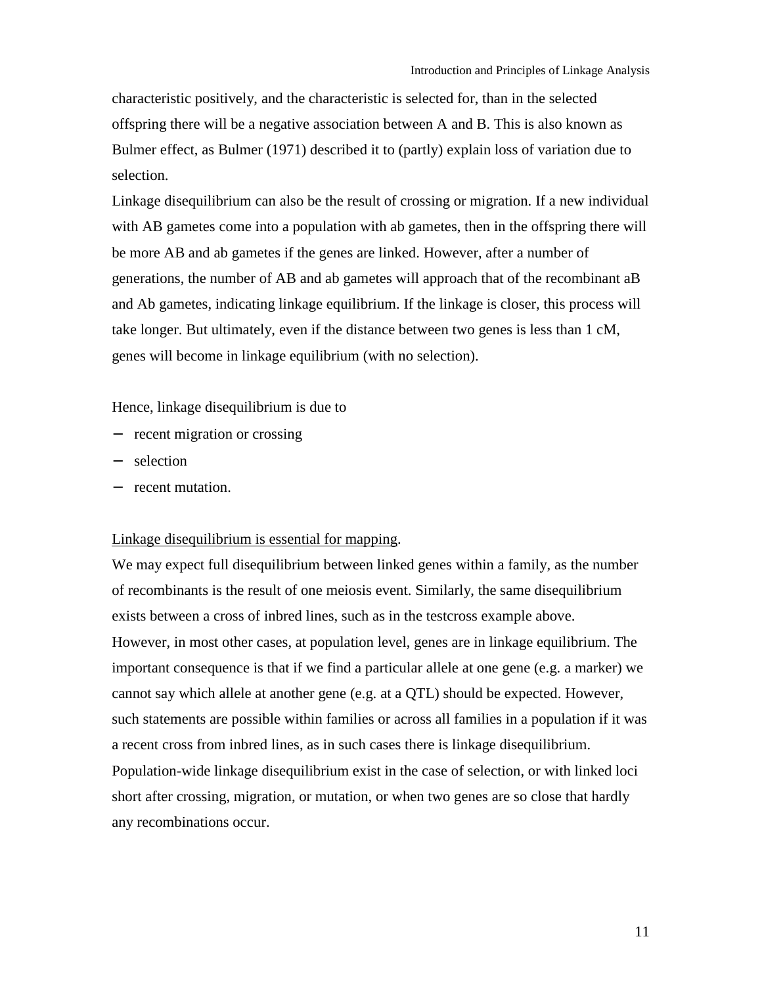characteristic positively, and the characteristic is selected for, than in the selected offspring there will be a negative association between A and B. This is also known as Bulmer effect, as Bulmer (1971) described it to (partly) explain loss of variation due to selection.

Linkage disequilibrium can also be the result of crossing or migration. If a new individual with AB gametes come into a population with ab gametes, then in the offspring there will be more AB and ab gametes if the genes are linked. However, after a number of generations, the number of AB and ab gametes will approach that of the recombinant aB and Ab gametes, indicating linkage equilibrium. If the linkage is closer, this process will take longer. But ultimately, even if the distance between two genes is less than 1 cM, genes will become in linkage equilibrium (with no selection).

Hence, linkage disequilibrium is due to

- − recent migration or crossing
- − selection
- − recent mutation.

#### Linkage disequilibrium is essential for mapping.

We may expect full disequilibrium between linked genes within a family, as the number of recombinants is the result of one meiosis event. Similarly, the same disequilibrium exists between a cross of inbred lines, such as in the testcross example above. However, in most other cases, at population level, genes are in linkage equilibrium. The important consequence is that if we find a particular allele at one gene (e.g. a marker) we cannot say which allele at another gene (e.g. at a QTL) should be expected. However, such statements are possible within families or across all families in a population if it was a recent cross from inbred lines, as in such cases there is linkage disequilibrium. Population-wide linkage disequilibrium exist in the case of selection, or with linked loci short after crossing, migration, or mutation, or when two genes are so close that hardly any recombinations occur.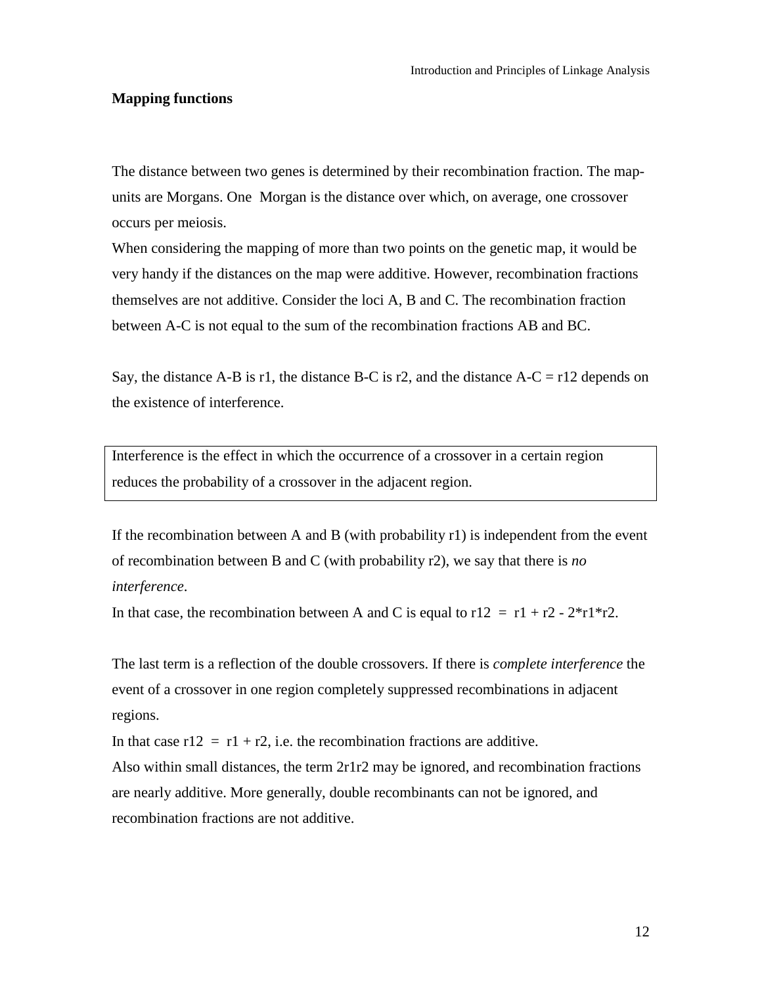#### <span id="page-11-0"></span>**Mapping functions**

The distance between two genes is determined by their recombination fraction. The mapunits are Morgans. One Morgan is the distance over which, on average, one crossover occurs per meiosis.

When considering the mapping of more than two points on the genetic map, it would be very handy if the distances on the map were additive. However, recombination fractions themselves are not additive. Consider the loci A, B and C. The recombination fraction between A-C is not equal to the sum of the recombination fractions AB and BC.

Say, the distance A-B is r1, the distance B-C is r2, and the distance A-C = r12 depends on the existence of interference.

Interference is the effect in which the occurrence of a crossover in a certain region reduces the probability of a crossover in the adjacent region.

If the recombination between A and B (with probability  $r1$ ) is independent from the event of recombination between B and C (with probability r2), we say that there is *no interference*.

In that case, the recombination between A and C is equal to  $r12 = r1 + r2 - 2*r1*r2$ .

The last term is a reflection of the double crossovers. If there is *complete interference* the event of a crossover in one region completely suppressed recombinations in adjacent regions.

In that case  $r12 = r1 + r2$ , i.e. the recombination fractions are additive. Also within small distances, the term 2r1r2 may be ignored, and recombination fractions are nearly additive. More generally, double recombinants can not be ignored, and recombination fractions are not additive.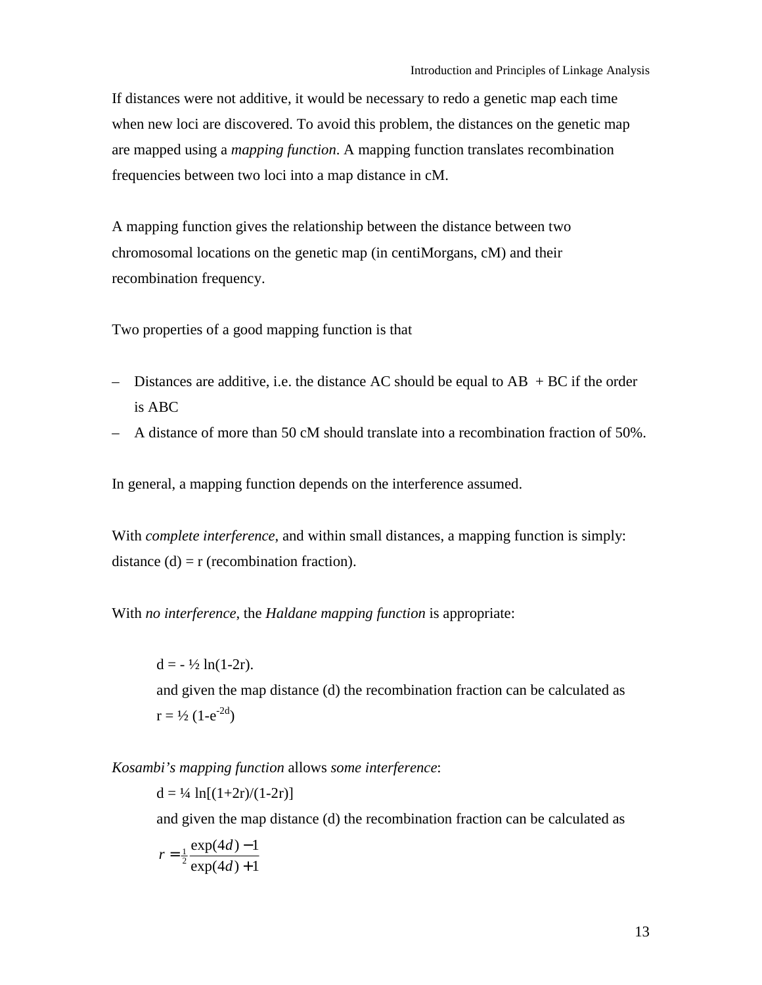If distances were not additive, it would be necessary to redo a genetic map each time when new loci are discovered. To avoid this problem, the distances on the genetic map are mapped using a *mapping function*. A mapping function translates recombination frequencies between two loci into a map distance in cM.

A mapping function gives the relationship between the distance between two chromosomal locations on the genetic map (in centiMorgans, cM) and their recombination frequency.

Two properties of a good mapping function is that

- Distances are additive, i.e. the distance AC should be equal to  $AB + BC$  if the order is ABC
- $-$  A distance of more than 50 cM should translate into a recombination fraction of 50%.

In general, a mapping function depends on the interference assumed.

With *complete interference*, and within small distances, a mapping function is simply: distance  $(d) = r$  (recombination fraction).

With *no interference*, the *Haldane mapping function* is appropriate:

 $d = -\frac{1}{2} \ln(1-2r)$ . and given the map distance (d) the recombination fraction can be calculated as  $r = \frac{1}{2} (1 - e^{-2d})$ 

*Kosambi's mapping function* allows *some interference*:

 $d = \frac{1}{4} \ln[(1+2r)/(1-2r)]$ 

and given the map distance (d) the recombination fraction can be calculated as

$$
r = \frac{1}{2} \frac{\exp(4d) - 1}{\exp(4d) + 1}
$$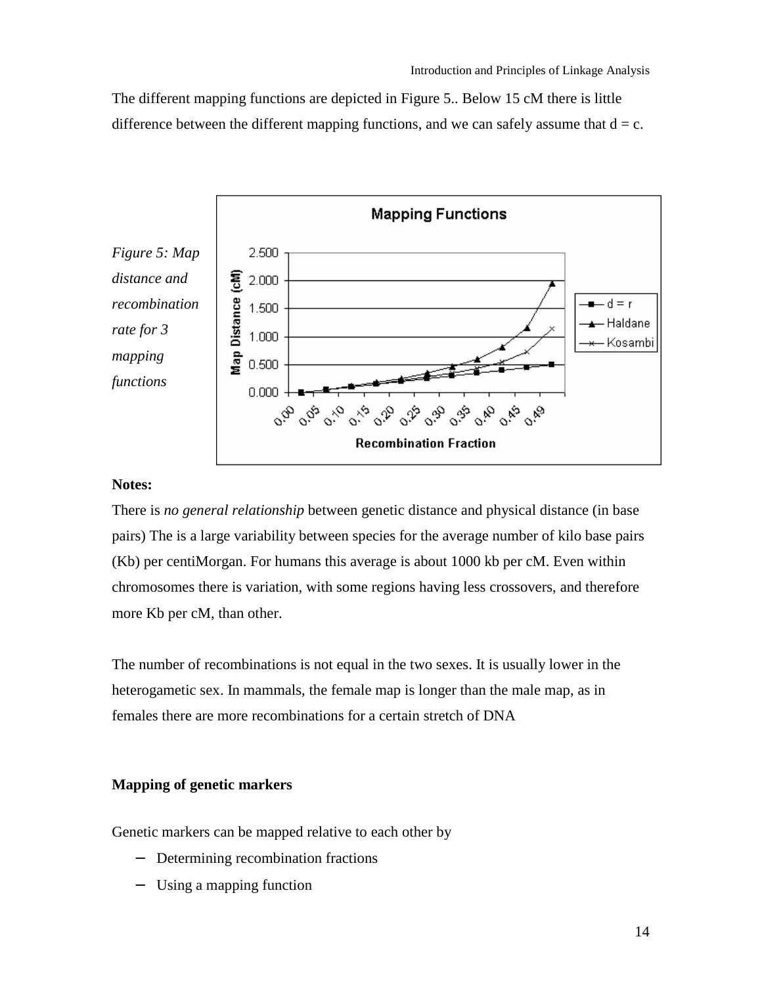<span id="page-13-0"></span>The different mapping functions are depicted in Figure 5.. Below 15 cM there is little difference between the different mapping functions, and we can safely assume that  $d = c$ .



## **Notes:**

There is *no general relationship* between genetic distance and physical distance (in base pairs) The is a large variability between species for the average number of kilo base pairs (Kb) per centiMorgan. For humans this average is about 1000 kb per cM. Even within chromosomes there is variation, with some regions having less crossovers, and therefore more Kb per cM, than other.

The number of recombinations is not equal in the two sexes. It is usually lower in the heterogametic sex. In mammals, the female map is longer than the male map, as in females there are more recombinations for a certain stretch of DNA

## **Mapping of genetic markers**

Genetic markers can be mapped relative to each other by

- − Determining recombination fractions
- − Using a mapping function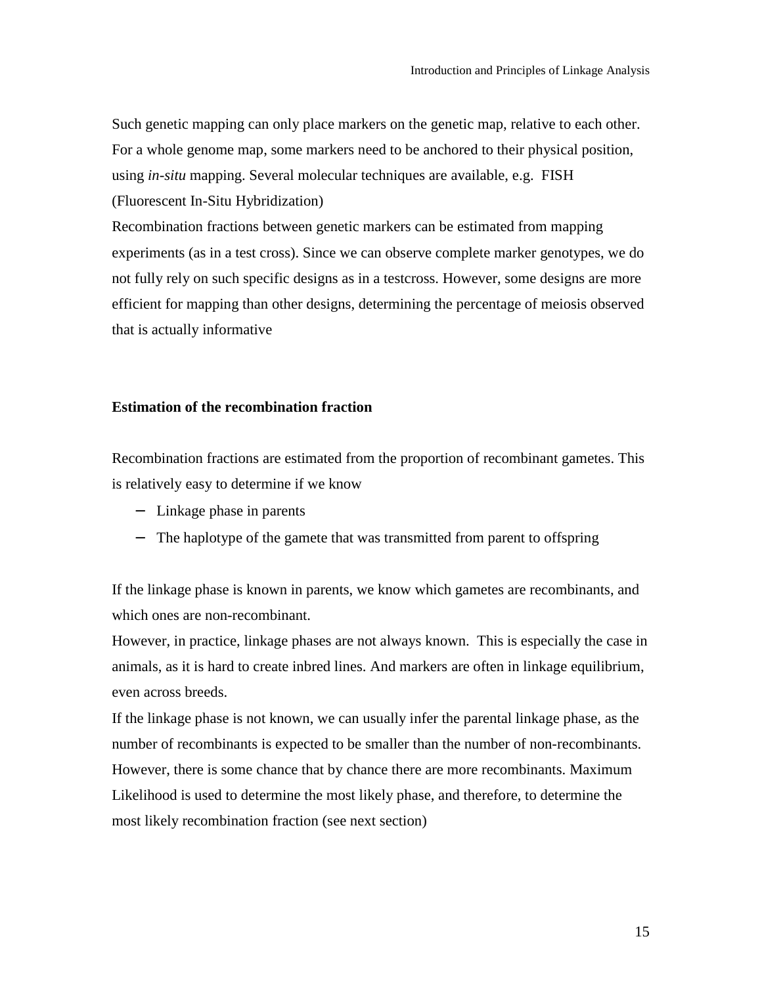<span id="page-14-0"></span>Such genetic mapping can only place markers on the genetic map, relative to each other. For a whole genome map, some markers need to be anchored to their physical position, using *in-situ* mapping. Several molecular techniques are available, e.g. FISH (Fluorescent In-Situ Hybridization)

Recombination fractions between genetic markers can be estimated from mapping experiments (as in a test cross). Since we can observe complete marker genotypes, we do not fully rely on such specific designs as in a testcross. However, some designs are more efficient for mapping than other designs, determining the percentage of meiosis observed that is actually informative

## **Estimation of the recombination fraction**

Recombination fractions are estimated from the proportion of recombinant gametes. This is relatively easy to determine if we know

- − Linkage phase in parents
- − The haplotype of the gamete that was transmitted from parent to offspring

If the linkage phase is known in parents, we know which gametes are recombinants, and which ones are non-recombinant.

However, in practice, linkage phases are not always known. This is especially the case in animals, as it is hard to create inbred lines. And markers are often in linkage equilibrium, even across breeds.

If the linkage phase is not known, we can usually infer the parental linkage phase, as the number of recombinants is expected to be smaller than the number of non-recombinants. However, there is some chance that by chance there are more recombinants. Maximum Likelihood is used to determine the most likely phase, and therefore, to determine the most likely recombination fraction (see next section)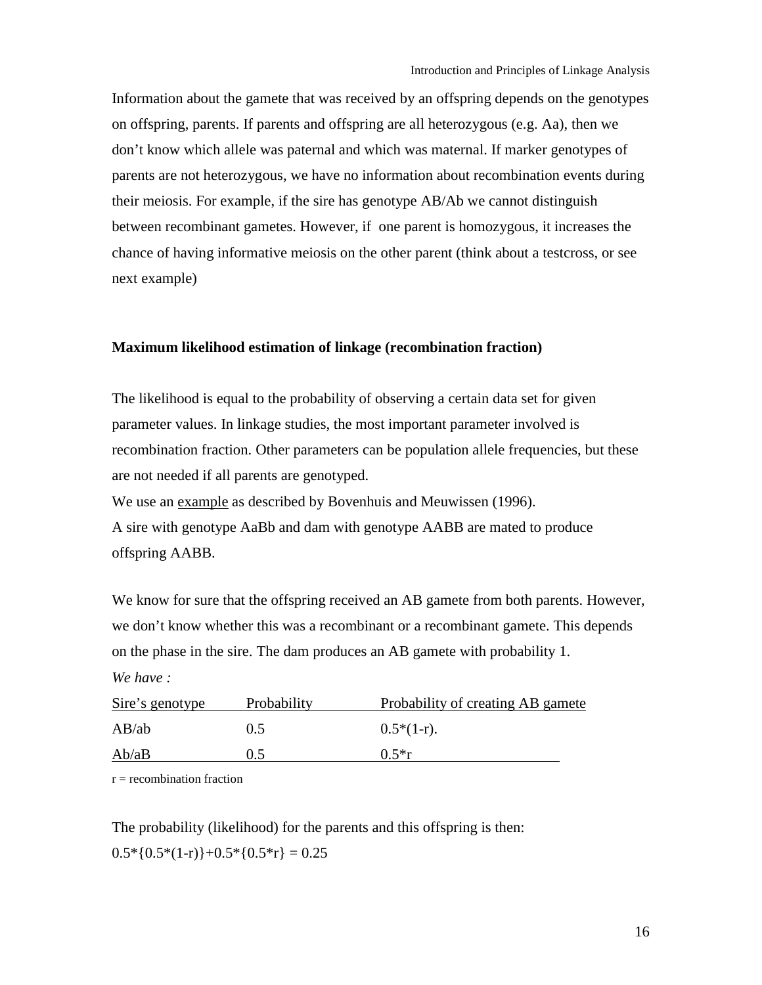<span id="page-15-0"></span>Information about the gamete that was received by an offspring depends on the genotypes on offspring, parents. If parents and offspring are all heterozygous (e.g. Aa), then we don't know which allele was paternal and which was maternal. If marker genotypes of parents are not heterozygous, we have no information about recombination events during their meiosis. For example, if the sire has genotype AB/Ab we cannot distinguish between recombinant gametes. However, if one parent is homozygous, it increases the chance of having informative meiosis on the other parent (think about a testcross, or see next example)

## **Maximum likelihood estimation of linkage (recombination fraction)**

The likelihood is equal to the probability of observing a certain data set for given parameter values. In linkage studies, the most important parameter involved is recombination fraction. Other parameters can be population allele frequencies, but these are not needed if all parents are genotyped.

We use an example as described by Bovenhuis and Meuwissen (1996).

A sire with genotype AaBb and dam with genotype AABB are mated to produce offspring AABB.

We know for sure that the offspring received an AB gamete from both parents. However, we don't know whether this was a recombinant or a recombinant gamete. This depends on the phase in the sire. The dam produces an AB gamete with probability 1. *We have :* 

| Sire's genotype | Probability | Probability of creating AB gamete |
|-----------------|-------------|-----------------------------------|
| AB/ab           | 0.5         | $0.5*(1-r)$ .                     |
| Ab/aB           | 0.5         | $0.5*$ r                          |

 $r =$  recombination fraction

The probability (likelihood) for the parents and this offspring is then:  $0.5*[0.5*(1-r)]+0.5*[0.5*r] = 0.25$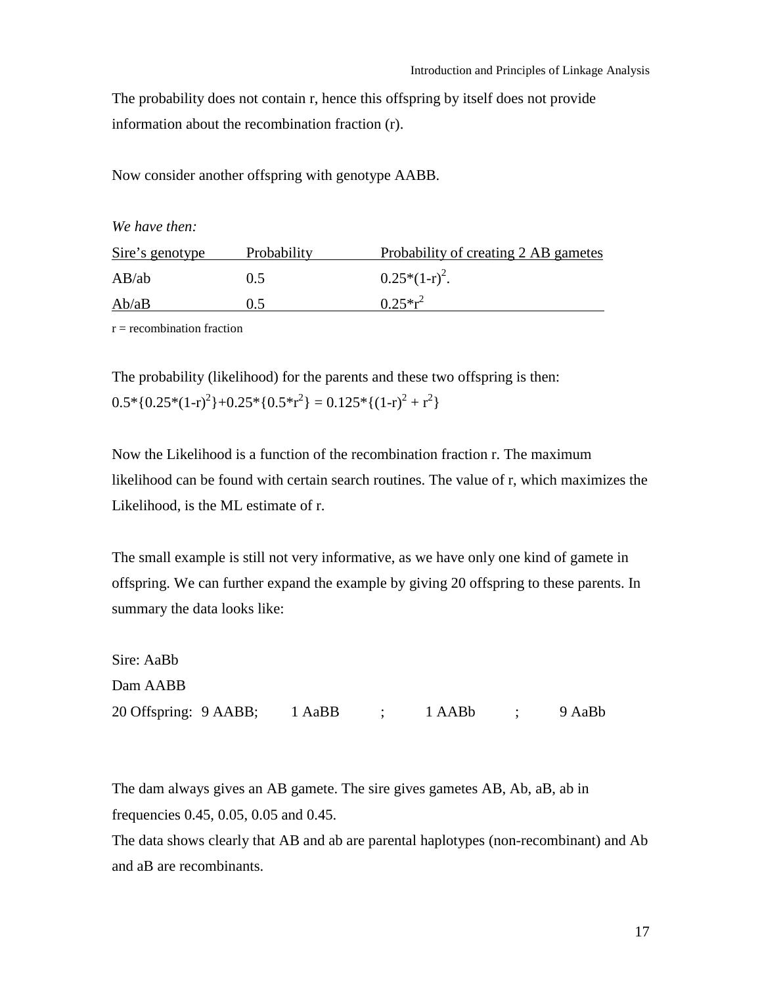The probability does not contain r, hence this offspring by itself does not provide information about the recombination fraction (r).

Now consider another offspring with genotype AABB.

*We have then:* 

| Sire's genotype | Probability | Probability of creating 2 AB gametes |
|-----------------|-------------|--------------------------------------|
| AB/ab           | 0.5         | $0.25*(1-r)^2$ .                     |
| Ab/aB           | 0.5         | $0.25*r^2$                           |

 $r =$  recombination fraction

The probability (likelihood) for the parents and these two offspring is then:  $0.5 * \{0.25 * (1-r)^2\} + 0.25 * \{0.5 * r^2\} = 0.125 * \{(1-r)^2 + r^2\}$ 

Now the Likelihood is a function of the recombination fraction r. The maximum likelihood can be found with certain search routines. The value of r, which maximizes the Likelihood, is the ML estimate of r.

The small example is still not very informative, as we have only one kind of gamete in offspring. We can further expand the example by giving 20 offspring to these parents. In summary the data looks like:

| Sire: AaBb                                     |  |  |  |
|------------------------------------------------|--|--|--|
| Dam AABB                                       |  |  |  |
| 20 Offspring: 9 AABB; 1 AaBB ; 1 AABb ; 9 AaBb |  |  |  |

The dam always gives an AB gamete. The sire gives gametes AB, Ab, aB, ab in frequencies 0.45, 0.05, 0.05 and 0.45.

The data shows clearly that AB and ab are parental haplotypes (non-recombinant) and Ab and aB are recombinants.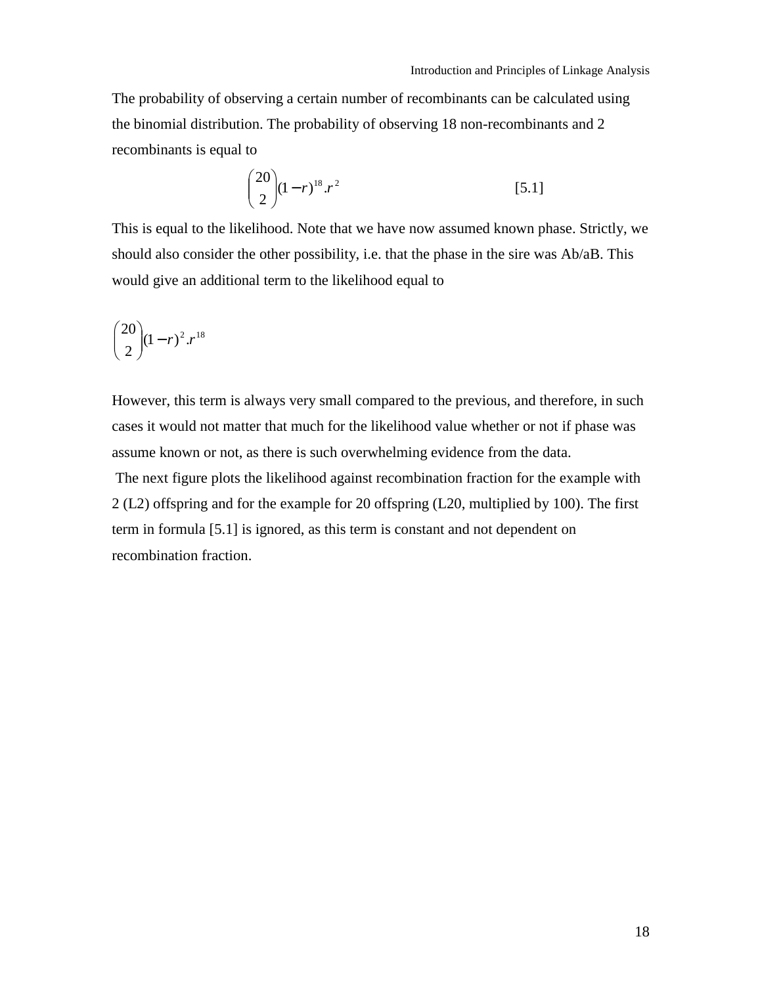The probability of observing a certain number of recombinants can be calculated using the binomial distribution. The probability of observing 18 non-recombinants and 2 recombinants is equal to

$$
\binom{20}{2} (1-r)^{18} \cdot r^2 \tag{5.1}
$$

This is equal to the likelihood. Note that we have now assumed known phase. Strictly, we should also consider the other possibility, i.e. that the phase in the sire was Ab/aB. This would give an additional term to the likelihood equal to

$$
\binom{20}{2}(1-r)^2 \cdot r^{18}
$$

However, this term is always very small compared to the previous, and therefore, in such cases it would not matter that much for the likelihood value whether or not if phase was assume known or not, as there is such overwhelming evidence from the data.

 The next figure plots the likelihood against recombination fraction for the example with 2 (L2) offspring and for the example for 20 offspring (L20, multiplied by 100). The first term in formula [5.1] is ignored, as this term is constant and not dependent on recombination fraction.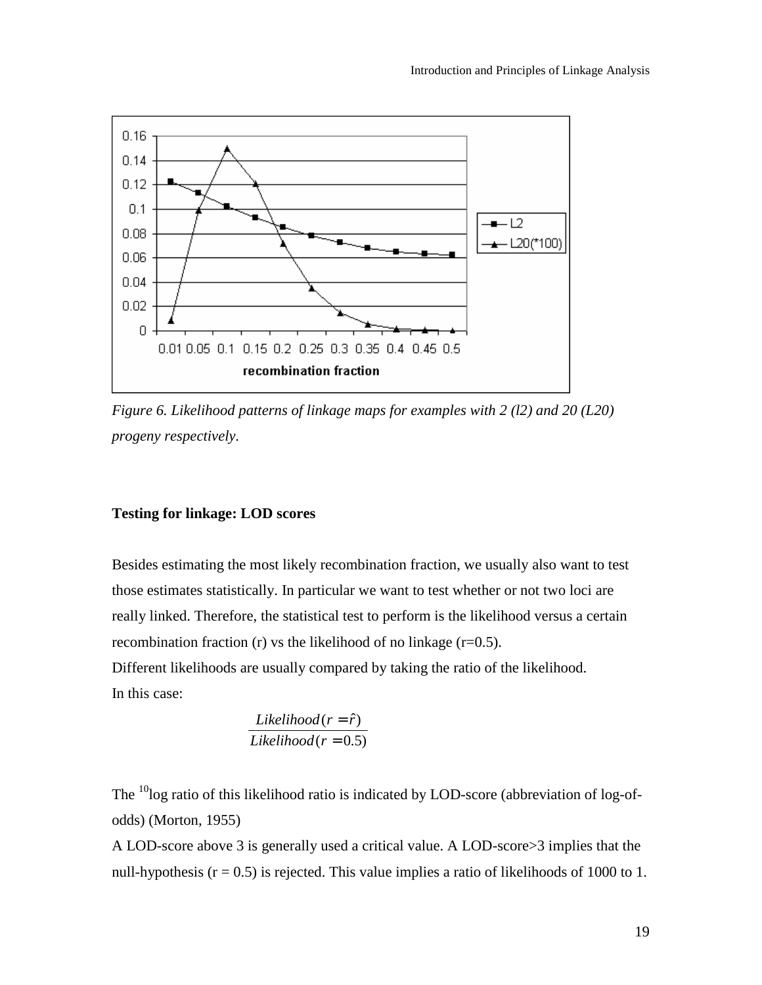<span id="page-18-0"></span>

*Figure 6. Likelihood patterns of linkage maps for examples with 2 (l2) and 20 (L20) progeny respectively.* 

## **Testing for linkage: LOD scores**

Besides estimating the most likely recombination fraction, we usually also want to test those estimates statistically. In particular we want to test whether or not two loci are really linked. Therefore, the statistical test to perform is the likelihood versus a certain recombination fraction (r) vs the likelihood of no linkage  $(r=0.5)$ .

Different likelihoods are usually compared by taking the ratio of the likelihood. In this case:

$$
\frac{Likelihood(r = \hat{r})}{Likelihood(r = 0.5)}
$$

The <sup>10</sup>log ratio of this likelihood ratio is indicated by LOD-score (abbreviation of log-ofodds) (Morton, 1955)

A LOD-score above 3 is generally used a critical value. A LOD-score>3 implies that the null-hypothesis ( $r = 0.5$ ) is rejected. This value implies a ratio of likelihoods of 1000 to 1.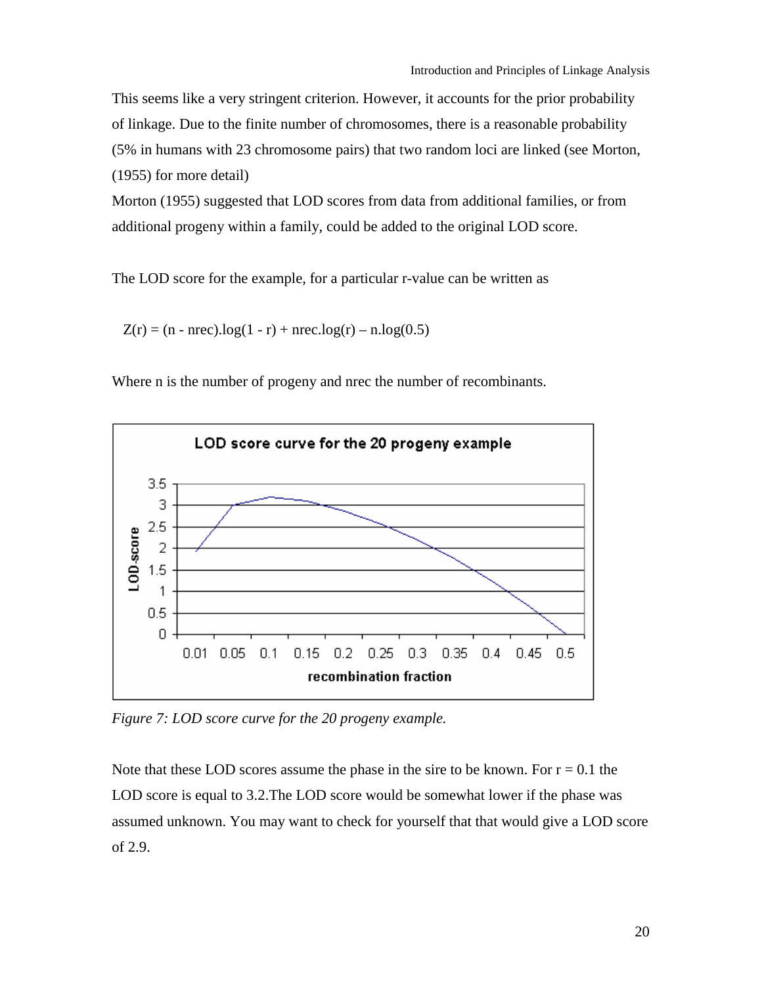This seems like a very stringent criterion. However, it accounts for the prior probability of linkage. Due to the finite number of chromosomes, there is a reasonable probability (5% in humans with 23 chromosome pairs) that two random loci are linked (see Morton, (1955) for more detail)

Morton (1955) suggested that LOD scores from data from additional families, or from additional progeny within a family, could be added to the original LOD score.

The LOD score for the example, for a particular r-value can be written as

 $Z(r) = (n - nrec) \cdot log(1 - r) + nrec \cdot log(r) - n \cdot log(0.5)$ 

Where n is the number of progeny and nrec the number of recombinants.



*Figure 7: LOD score curve for the 20 progeny example.* 

Note that these LOD scores assume the phase in the sire to be known. For  $r = 0.1$  the LOD score is equal to 3.2.The LOD score would be somewhat lower if the phase was assumed unknown. You may want to check for yourself that that would give a LOD score of 2.9.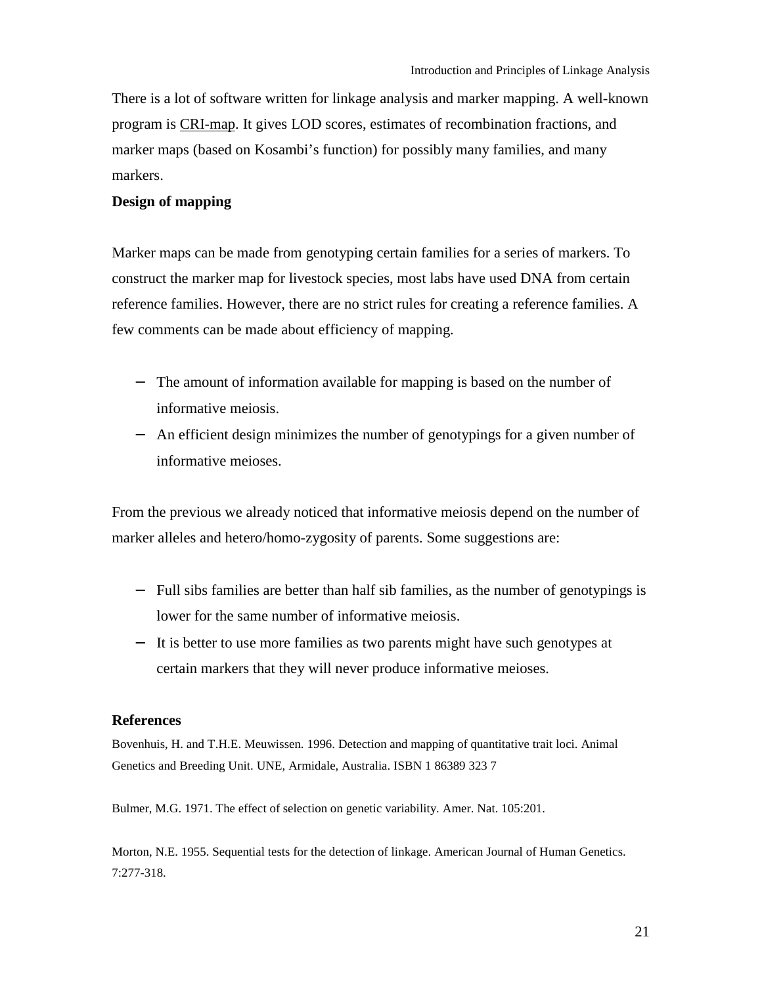<span id="page-20-0"></span>There is a lot of software written for linkage analysis and marker mapping. A well-known program is CRI-map. It gives LOD scores, estimates of recombination fractions, and marker maps (based on Kosambi's function) for possibly many families, and many markers.

#### **Design of mapping**

Marker maps can be made from genotyping certain families for a series of markers. To construct the marker map for livestock species, most labs have used DNA from certain reference families. However, there are no strict rules for creating a reference families. A few comments can be made about efficiency of mapping.

- − The amount of information available for mapping is based on the number of informative meiosis.
- − An efficient design minimizes the number of genotypings for a given number of informative meioses.

From the previous we already noticed that informative meiosis depend on the number of marker alleles and hetero/homo-zygosity of parents. Some suggestions are:

- − Full sibs families are better than half sib families, as the number of genotypings is lower for the same number of informative meiosis.
- − It is better to use more families as two parents might have such genotypes at certain markers that they will never produce informative meioses.

#### **References**

Bovenhuis, H. and T.H.E. Meuwissen. 1996. Detection and mapping of quantitative trait loci. Animal Genetics and Breeding Unit. UNE, Armidale, Australia. ISBN 1 86389 323 7

Bulmer, M.G. 1971. The effect of selection on genetic variability. Amer. Nat. 105:201.

Morton, N.E. 1955. Sequential tests for the detection of linkage. American Journal of Human Genetics. 7:277-318.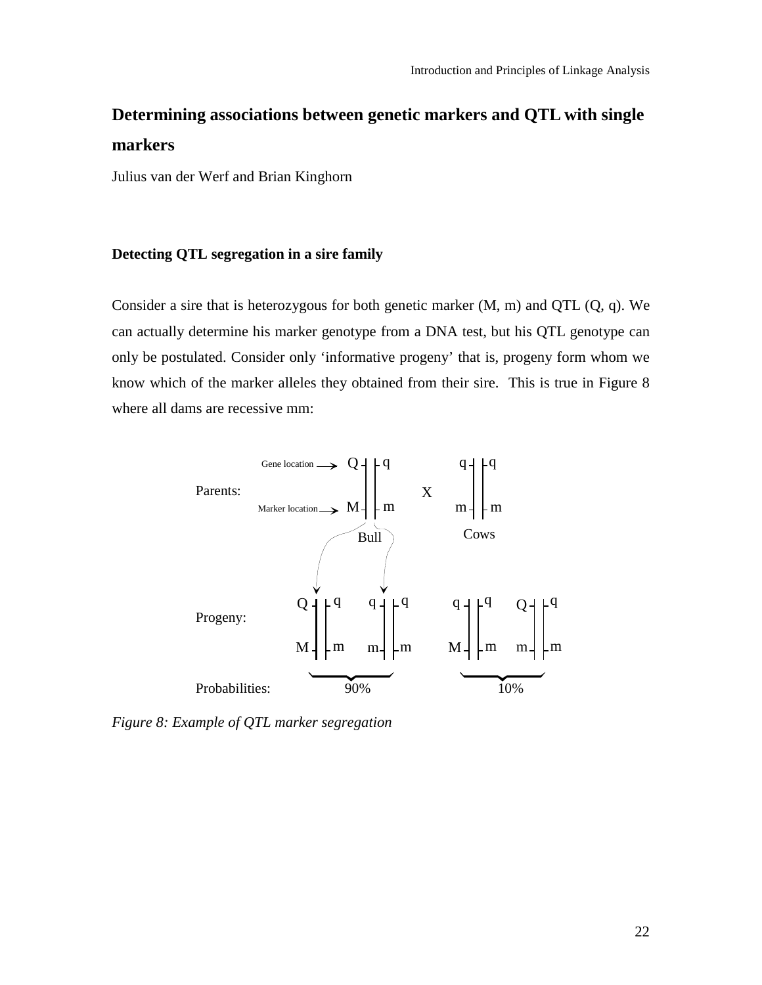# <span id="page-21-0"></span>**Determining associations between genetic markers and QTL with single markers**

Julius van der Werf and Brian Kinghorn

## **Detecting QTL segregation in a sire family**

Consider a sire that is heterozygous for both genetic marker (M, m) and QTL (Q, q). We can actually determine his marker genotype from a DNA test, but his QTL genotype can only be postulated. Consider only 'informative progeny' that is, progeny form whom we know which of the marker alleles they obtained from their sire. This is true in Figure 8 where all dams are recessive mm:



*Figure 8: Example of QTL marker segregation*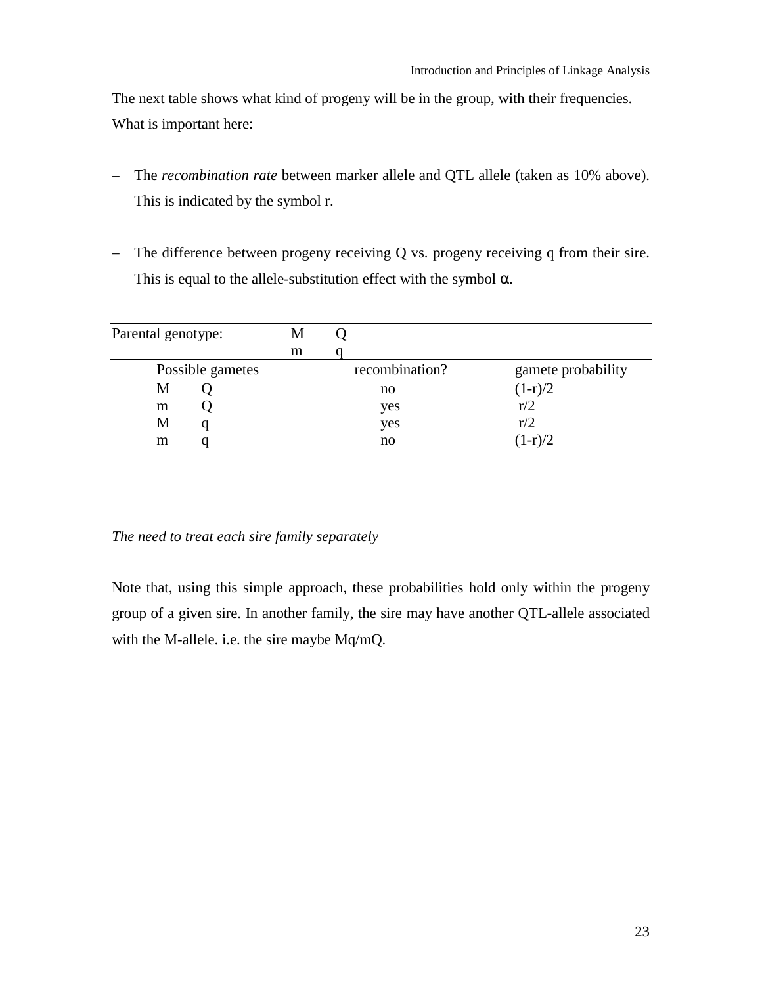The next table shows what kind of progeny will be in the group, with their frequencies. What is important here:

- The *recombination rate* between marker allele and QTL allele (taken as 10% above). This is indicated by the symbol r.
- The difference between progeny receiving Q vs. progeny receiving q from their sire. This is equal to the allele-substitution effect with the symbol  $\alpha$ .

| Parental genotype: | М |                |                    |
|--------------------|---|----------------|--------------------|
|                    | m |                |                    |
| Possible gametes   |   | recombination? | gamete probability |
| М                  |   | no             | $(1-r)/2$          |
| m                  |   | yes            | r/2                |
| M                  |   | yes            | r/2                |
| m<br>U             |   | no             | $(1-r)/2$          |

#### *The need to treat each sire family separately*

Note that, using this simple approach, these probabilities hold only within the progeny group of a given sire. In another family, the sire may have another QTL-allele associated with the M-allele. i.e. the sire maybe Mq/mQ.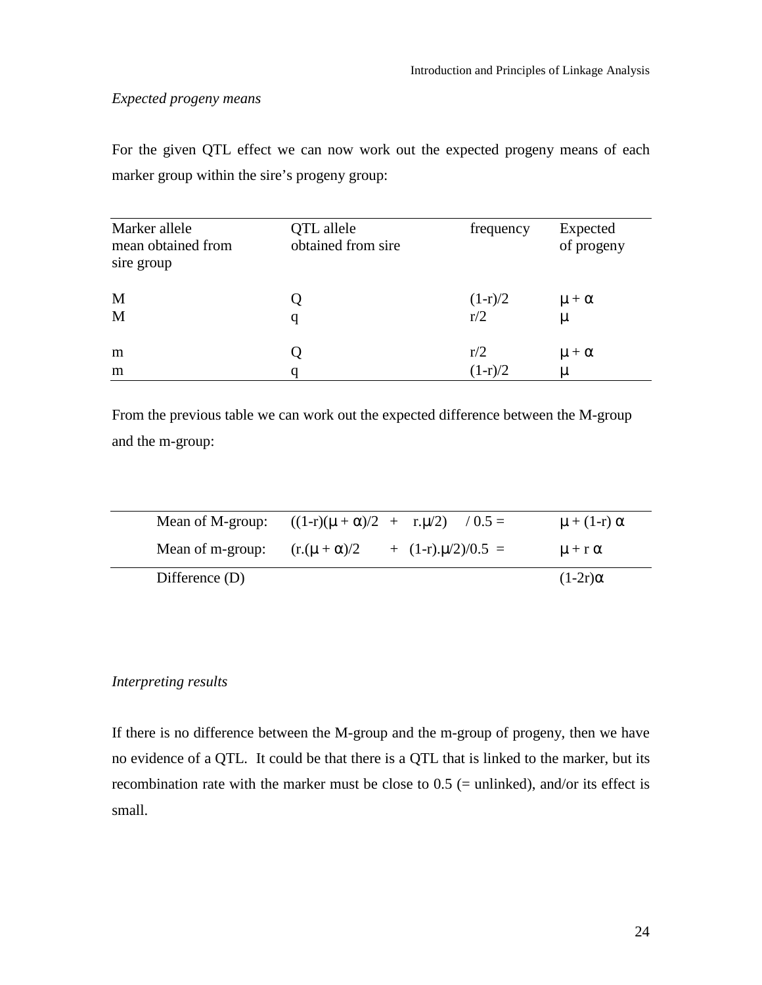## *Expected progeny means*

For the given QTL effect we can now work out the expected progeny means of each marker group within the sire's progeny group:

| Marker allele                    | QTL allele         | frequency | Expected       |
|----------------------------------|--------------------|-----------|----------------|
| mean obtained from<br>sire group | obtained from sire |           | of progeny     |
| M                                |                    | $(1-r)/2$ | $\mu + \alpha$ |
| M                                | q                  | r/2       | μ              |
| m                                |                    | r/2       | $\mu + \alpha$ |
| m                                | q                  | $(1-r)/2$ | μ              |

From the previous table we can work out the expected difference between the M-group and the m-group:

| Mean of M-group: | $((1-r)(\mu + \alpha)/2 + r \cdot \mu/2)$ | $/ 0.5 =$                   | $\mu + (1-r) \alpha$ |
|------------------|-------------------------------------------|-----------------------------|----------------------|
| Mean of m-group: | $(r.(\mu + \alpha)/2)$                    | $+(1-r) \cdot \mu/2)/0.5 =$ | $\mu$ + r $\alpha$   |
| Difference $(D)$ |                                           |                             | $(1-2r)\alpha$       |

## *Interpreting results*

If there is no difference between the M-group and the m-group of progeny, then we have no evidence of a QTL. It could be that there is a QTL that is linked to the marker, but its recombination rate with the marker must be close to  $0.5$  (= unlinked), and/or its effect is small.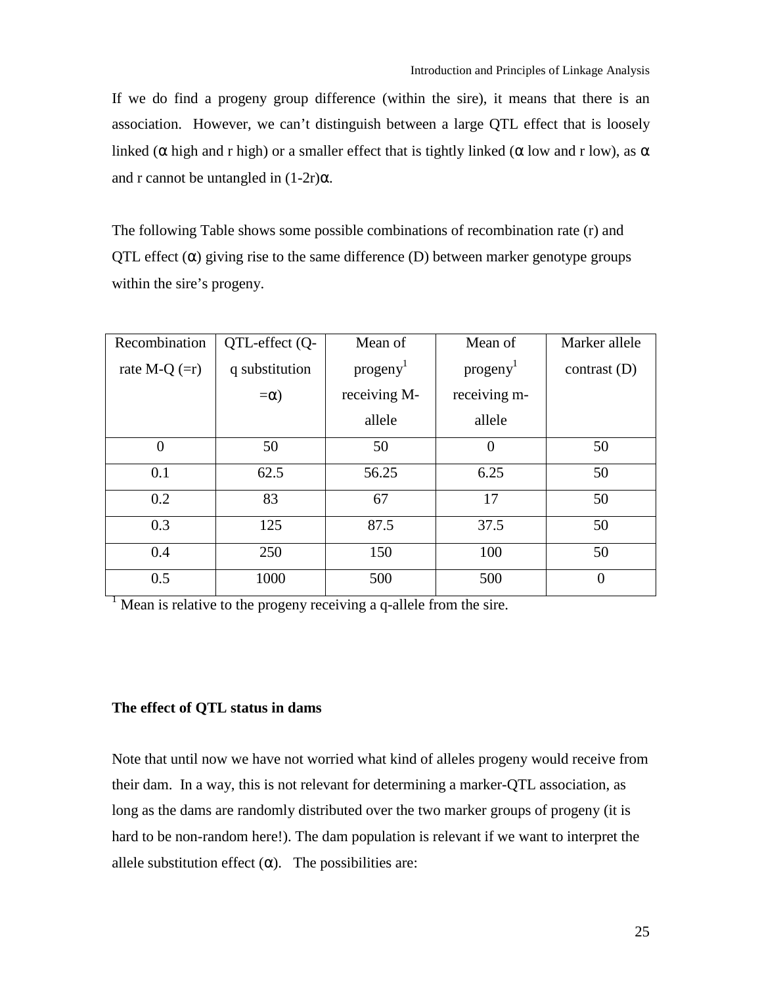<span id="page-24-0"></span>If we do find a progeny group difference (within the sire), it means that there is an association. However, we can't distinguish between a large QTL effect that is loosely linked ( $\alpha$  high and r high) or a smaller effect that is tightly linked ( $\alpha$  low and r low), as  $\alpha$ and r cannot be untangled in  $(1-2r)\alpha$ .

The following Table shows some possible combinations of recombination rate (r) and QTL effect  $(\alpha)$  giving rise to the same difference (D) between marker genotype groups within the sire's progeny.

| Recombination   | QTL-effect (Q- | Mean of               | Mean of               | Marker allele  |
|-----------------|----------------|-----------------------|-----------------------|----------------|
| rate M-Q $(=r)$ | q substitution | programy <sup>1</sup> | programy <sup>1</sup> | contrast $(D)$ |
|                 | $=\alpha$ )    | receiving M-          | receiving m-          |                |
|                 |                | allele                | allele                |                |
| $\theta$        | 50             | 50                    | $\Omega$              | 50             |
| 0.1             | 62.5           | 56.25                 | 6.25                  | 50             |
| 0.2             | 83             | 67                    | 17                    | 50             |
| 0.3             | 125            | 87.5                  | 37.5                  | 50             |
| 0.4             | 250            | 150                   | 100                   | 50             |
| 0.5             | 1000           | 500                   | 500                   | $\theta$       |

<sup>1</sup> Mean is relative to the progeny receiving a q-allele from the sire.

#### **The effect of QTL status in dams**

Note that until now we have not worried what kind of alleles progeny would receive from their dam. In a way, this is not relevant for determining a marker-QTL association, as long as the dams are randomly distributed over the two marker groups of progeny (it is hard to be non-random here!). The dam population is relevant if we want to interpret the allele substitution effect  $(\alpha)$ . The possibilities are: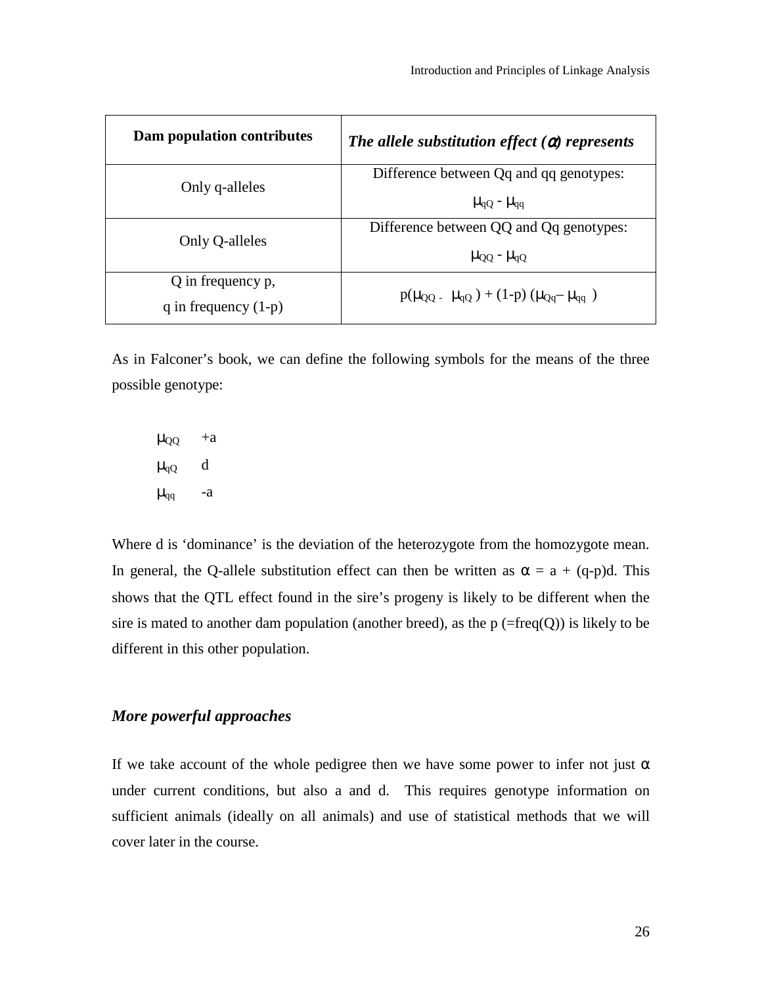| Dam population contributes | The allele substitution effect $(\alpha)$ represents   |  |
|----------------------------|--------------------------------------------------------|--|
|                            | Difference between Qq and qq genotypes:                |  |
| Only q-alleles             | $\mu_{\rm qQ}$ - $\mu_{\rm qq}$                        |  |
| Only Q-alleles             | Difference between QQ and Qq genotypes:                |  |
|                            | $\mu_{\text{QQ}}$ - $\mu_{\text{qQ}}$                  |  |
| Q in frequency p,          |                                                        |  |
| q in frequency $(1-p)$     | $p(\mu_{OO} - \mu_{qO}) + (1-p) (\mu_{Oq} - \mu_{qq})$ |  |

As in Falconer's book, we can define the following symbols for the means of the three possible genotype:

 $\mu_{QQ}$  +a  $\mu_{qQ}$  d  $\mu_{qq}$  -a

Where d is 'dominance' is the deviation of the heterozygote from the homozygote mean. In general, the Q-allele substitution effect can then be written as  $\alpha = a + (q-p)d$ . This shows that the QTL effect found in the sire's progeny is likely to be different when the sire is mated to another dam population (another breed), as the  $p (=freq(Q))$  is likely to be different in this other population.

## *More powerful approaches*

If we take account of the whole pedigree then we have some power to infer not just  $\alpha$ under current conditions, but also a and d. This requires genotype information on sufficient animals (ideally on all animals) and use of statistical methods that we will cover later in the course.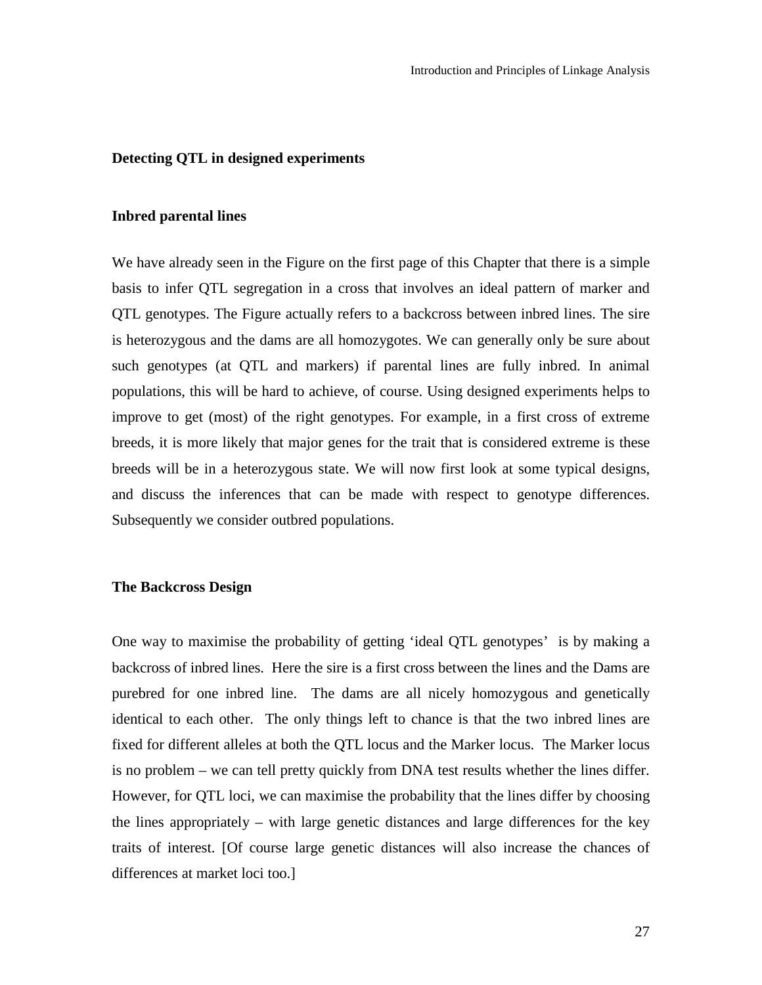#### <span id="page-26-0"></span>**Detecting QTL in designed experiments**

#### **Inbred parental lines**

We have already seen in the Figure on the first page of this Chapter that there is a simple basis to infer QTL segregation in a cross that involves an ideal pattern of marker and QTL genotypes. The Figure actually refers to a backcross between inbred lines. The sire is heterozygous and the dams are all homozygotes. We can generally only be sure about such genotypes (at QTL and markers) if parental lines are fully inbred. In animal populations, this will be hard to achieve, of course. Using designed experiments helps to improve to get (most) of the right genotypes. For example, in a first cross of extreme breeds, it is more likely that major genes for the trait that is considered extreme is these breeds will be in a heterozygous state. We will now first look at some typical designs, and discuss the inferences that can be made with respect to genotype differences. Subsequently we consider outbred populations.

#### **The Backcross Design**

One way to maximise the probability of getting 'ideal QTL genotypes' is by making a backcross of inbred lines. Here the sire is a first cross between the lines and the Dams are purebred for one inbred line. The dams are all nicely homozygous and genetically identical to each other. The only things left to chance is that the two inbred lines are fixed for different alleles at both the QTL locus and the Marker locus. The Marker locus is no problem – we can tell pretty quickly from DNA test results whether the lines differ. However, for QTL loci, we can maximise the probability that the lines differ by choosing the lines appropriately – with large genetic distances and large differences for the key traits of interest. [Of course large genetic distances will also increase the chances of differences at market loci too.]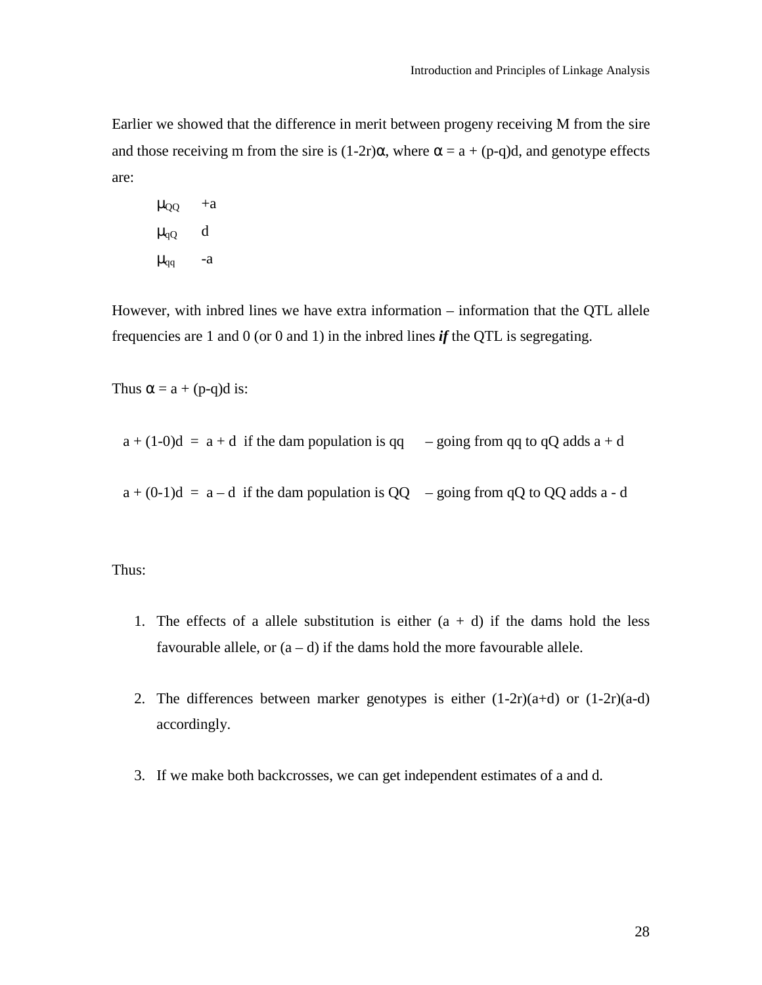Earlier we showed that the difference in merit between progeny receiving M from the sire and those receiving m from the sire is  $(1-2r)\alpha$ , where  $\alpha = a + (p-q)d$ , and genotype effects are:

 $\mu_{QQ}$  +a  $\mu_{qQ}$  d  $\mu_{qq}$  -a

However, with inbred lines we have extra information – information that the QTL allele frequencies are 1 and 0 (or 0 and 1) in the inbred lines *if* the QTL is segregating.

Thus  $\alpha = a + (p-q)d$  is:

 $a + (1-0)d = a + d$  if the dam population is qq – going from qq to qQ adds  $a + d$ 

 $a + (0-1)d = a-d$  if the dam population is QQ – going from qQ to QQ adds a - d

Thus:

- 1. The effects of a allele substitution is either  $(a + d)$  if the dams hold the less favourable allele, or  $(a - d)$  if the dams hold the more favourable allele.
- 2. The differences between marker genotypes is either  $(1-2r)(a+d)$  or  $(1-2r)(a-d)$ accordingly.
- 3. If we make both backcrosses, we can get independent estimates of a and d.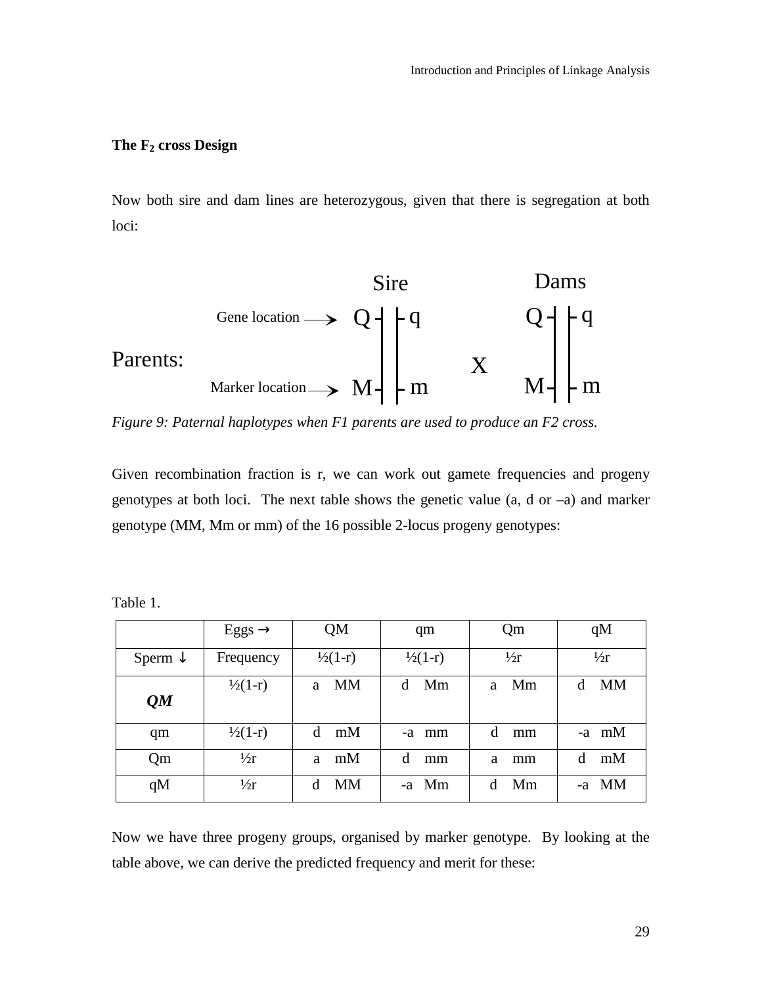## <span id="page-28-0"></span>The F<sub>2</sub> cross Design

Now both sire and dam lines are heterozygous, given that there is segregation at both loci:



*Figure 9: Paternal haplotypes when F1 parents are used to produce an F2 cross.* 

Given recombination fraction is r, we can work out gamete frequencies and progeny genotypes at both loci. The next table shows the genetic value (a, d or –a) and marker genotype (MM, Mm or mm) of the 16 possible 2-locus progeny genotypes:

|                    | $Eggs \rightarrow$ | QM                 | qm                 | Qm            | qM             |
|--------------------|--------------------|--------------------|--------------------|---------------|----------------|
| Sperm $\downarrow$ | Frequency          | $\frac{1}{2}(1-r)$ | $\frac{1}{2}(1-r)$ | $\frac{1}{2}$ | $\frac{1}{2}$  |
| QM                 | $\frac{1}{2}(1-r)$ | <b>MM</b><br>a     | Mm<br>d            | Mm<br>a       | <b>MM</b><br>d |
| qm                 | $\frac{1}{2}(1-r)$ | d<br>mM            | -a mm              | d<br>mm       | $-a$ mM        |
| Qm                 | $\frac{1}{2}r$     | mM<br>a            | d<br>mm            | a<br>mm       | mM<br>d        |
| qM                 | $\frac{1}{2}r$     | MM<br>d            | -a Mm              | Mm<br>d       | -a MM          |

Table 1.

Now we have three progeny groups, organised by marker genotype. By looking at the table above, we can derive the predicted frequency and merit for these: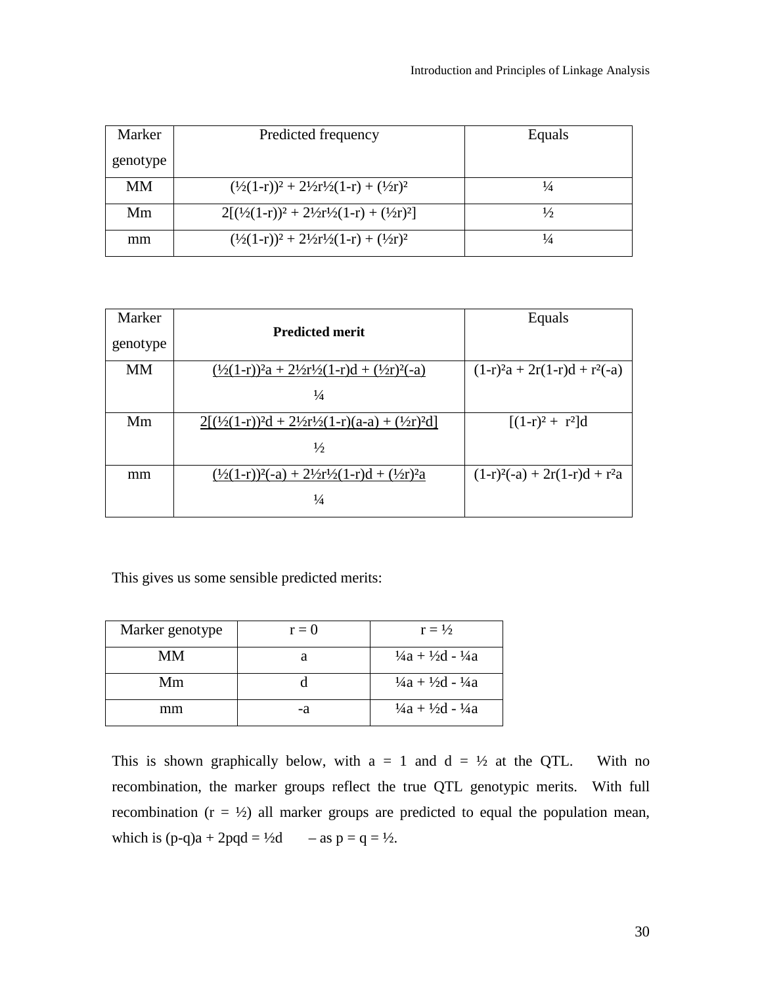| Marker    | Predicted frequency                                                       | Equals        |
|-----------|---------------------------------------------------------------------------|---------------|
| genotype  |                                                                           |               |
| <b>MM</b> | $(\frac{1}{2}(1-r))^2 + \frac{21}{2}r\frac{1}{2}(1-r) + (\frac{1}{2}r)^2$ | $\frac{1}{4}$ |
| Mm        | $2[(1/2(1-r))^2 + 21/2r^2/(1-r) + (1/2r)^2]$                              | $\frac{1}{2}$ |
| mm        | $(\frac{1}{2}(1-r))^2 + \frac{21}{2}r^2(1-r) + \frac{1}{2}r^2$            | $\frac{1}{4}$ |

| Marker    | <b>Predicted merit</b>                                                 | Equals                          |
|-----------|------------------------------------------------------------------------|---------------------------------|
| genotype  |                                                                        |                                 |
| <b>MM</b> | $(\frac{1}{2}(1-r))^2a + \frac{21}{2}r^2(1-r)d + \frac{(1}{2}r)^2(-a)$ | $(1-r)^2a + 2r(1-r)d + r^2(-a)$ |
|           | $\frac{1}{4}$                                                          |                                 |
| Mm        | $2[(1/2(1-r))^2d + 2\frac{1}{2r^2}(1-r)(a-a) + (\frac{1}{2r})^2d]$     | $[(1-r)^2 + r^2]d$              |
|           | $\frac{1}{2}$                                                          |                                 |
| mm        | $(\frac{1}{2}(1-r))^2(-a) + \frac{21}{2}r^2(1-r)d + \frac{1}{2}r^2a$   | $(1-r)^2(-a) + 2r(1-r)d + r^2a$ |
|           | $\frac{1}{4}$                                                          |                                 |

This gives us some sensible predicted merits:

| Marker genotype | $r = 0$ | $r = \frac{1}{2}$                            |
|-----------------|---------|----------------------------------------------|
| MМ              |         | $\frac{1}{4}a + \frac{1}{2}d - \frac{1}{4}a$ |
| Mm              |         | $\frac{1}{4}a + \frac{1}{2}d - \frac{1}{4}a$ |
| mm              | -a      | $\frac{1}{4a} + \frac{1}{2d} - \frac{1}{4a}$ |

This is shown graphically below, with  $a = 1$  and  $d = \frac{1}{2}$  at the QTL. With no recombination, the marker groups reflect the true QTL genotypic merits. With full recombination  $(r = \frac{1}{2})$  all marker groups are predicted to equal the population mean, which is  $(p-q)a + 2pqd = 4/2d$  – as  $p = q = 1/2$ .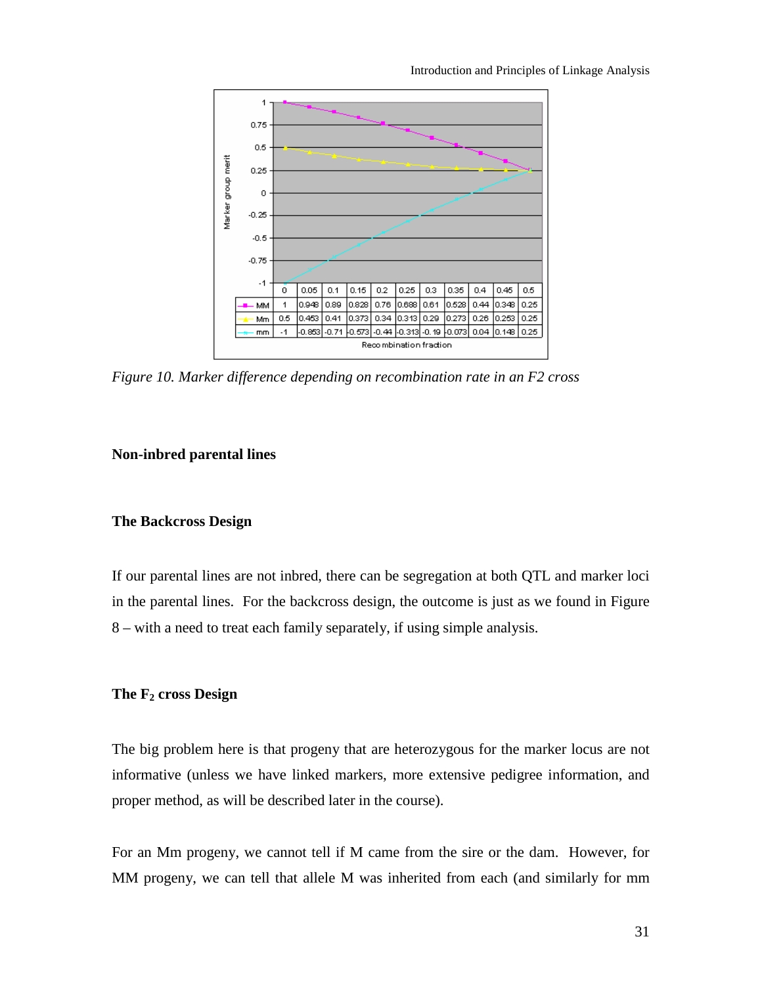<span id="page-30-0"></span>

Introduction and Principles of Linkage Analysis

*Figure 10. Marker difference depending on recombination rate in an F2 cross* 

## **Non-inbred parental lines**

#### **The Backcross Design**

If our parental lines are not inbred, there can be segregation at both QTL and marker loci in the parental lines. For the backcross design, the outcome is just as we found in Figure 8 – with a need to treat each family separately, if using simple analysis.

#### **The F2 cross Design**

The big problem here is that progeny that are heterozygous for the marker locus are not informative (unless we have linked markers, more extensive pedigree information, and proper method, as will be described later in the course).

For an Mm progeny, we cannot tell if M came from the sire or the dam. However, for MM progeny, we can tell that allele M was inherited from each (and similarly for mm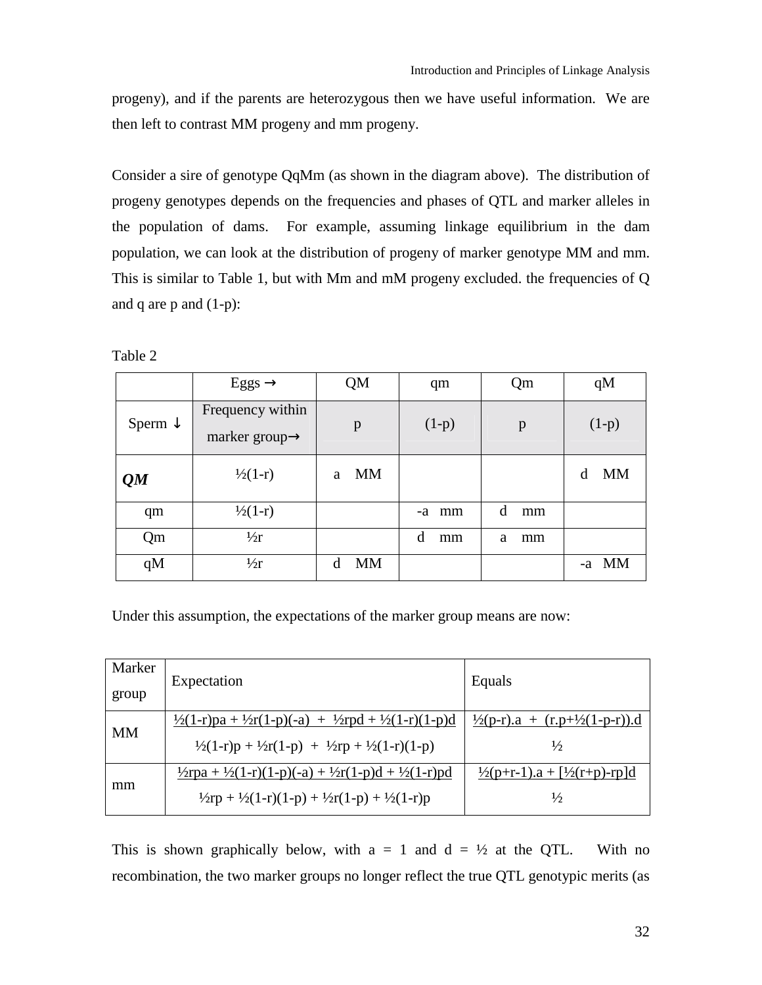progeny), and if the parents are heterozygous then we have useful information. We are then left to contrast MM progeny and mm progeny.

Consider a sire of genotype QqMm (as shown in the diagram above). The distribution of progeny genotypes depends on the frequencies and phases of QTL and marker alleles in the population of dams. For example, assuming linkage equilibrium in the dam population, we can look at the distribution of progeny of marker genotype MM and mm. This is similar to Table 1, but with Mm and mM progeny excluded. the frequencies of Q and q are  $p$  and  $(1-p)$ :

Table 2

|                    | Eggs $\rightarrow$                             | QM             | qm       | Qm      | qM             |
|--------------------|------------------------------------------------|----------------|----------|---------|----------------|
| Sperm $\downarrow$ | Frequency within<br>marker group $\rightarrow$ | p              | $(1-p)$  | p       | $(1-p)$        |
| QM                 | $\frac{1}{2}(1-r)$                             | <b>MM</b><br>a |          |         | <b>MM</b><br>d |
| qm                 | $\frac{1}{2}(1-r)$                             |                | mm<br>-a | d<br>mm |                |
| Qm                 | $\frac{1}{2}$                                  |                | d<br>mm  | a<br>mm |                |
| qM                 | $\frac{1}{2}$                                  | <b>MM</b><br>d |          |         | MM<br>-a       |

Under this assumption, the expectations of the marker group means are now:

| Marker    | Expectation                                                                               | Equals                                            |
|-----------|-------------------------------------------------------------------------------------------|---------------------------------------------------|
| group     |                                                                                           |                                                   |
| <b>MM</b> | $\frac{1}{2}(1-r)p^2 + \frac{1}{2}r(1-p)(-a) + \frac{1}{2}rpd + \frac{1}{2}(1-r)(1-p)d$   | $\frac{1}{2}(p-r) a + (r.p+\frac{1}{2}(1-p-r)) d$ |
|           | $\frac{1}{2}(1-r)p + \frac{1}{2}r(1-p) + \frac{1}{2}rp + \frac{1}{2}(1-r)(1-p)$           | $\frac{1}{2}$                                     |
|           | $\frac{1}{2}$ rpa + $\frac{1}{2}(1-r)(1-p)(-a) + \frac{1}{2}r(1-p)d + \frac{1}{2}(1-r)pd$ | $\frac{1}{2}(p+r-1)a + \frac{1}{2}(r+p)-rp]d$     |
| mm        | $\frac{1}{2}$ rp + $\frac{1}{2}(1-r)(1-p) + \frac{1}{2}r(1-p) + \frac{1}{2}(1-r)p$        | $\frac{1}{2}$                                     |

This is shown graphically below, with  $a = 1$  and  $d = \frac{1}{2}$  at the QTL. With no recombination, the two marker groups no longer reflect the true QTL genotypic merits (as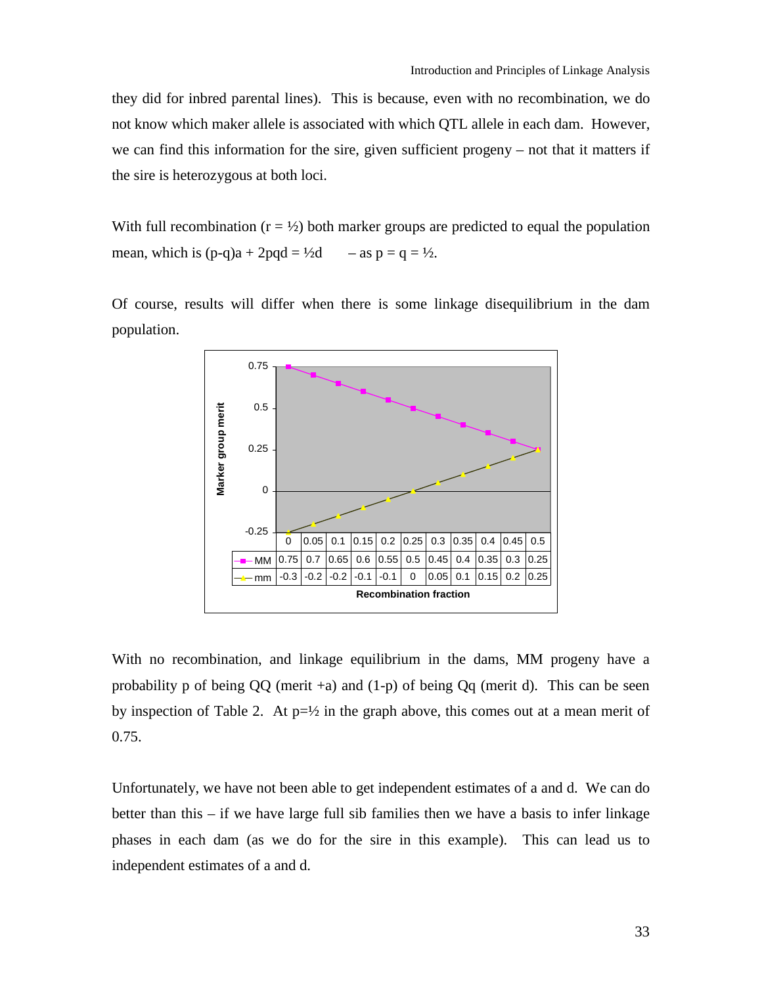they did for inbred parental lines). This is because, even with no recombination, we do not know which maker allele is associated with which QTL allele in each dam. However, we can find this information for the sire, given sufficient progeny – not that it matters if the sire is heterozygous at both loci.

With full recombination  $(r = \frac{1}{2})$  both marker groups are predicted to equal the population mean, which is  $(p-q)a + 2pqd = \frac{1}{2}d$  – as  $p = q = \frac{1}{2}$ .

Of course, results will differ when there is some linkage disequilibrium in the dam population.



With no recombination, and linkage equilibrium in the dams, MM progeny have a probability p of being  $QQ$  (merit +a) and  $(1-p)$  of being  $Qq$  (merit d). This can be seen by inspection of Table 2. At  $p=\frac{1}{2}$  in the graph above, this comes out at a mean merit of 0.75.

Unfortunately, we have not been able to get independent estimates of a and d. We can do better than this – if we have large full sib families then we have a basis to infer linkage phases in each dam (as we do for the sire in this example). This can lead us to independent estimates of a and d.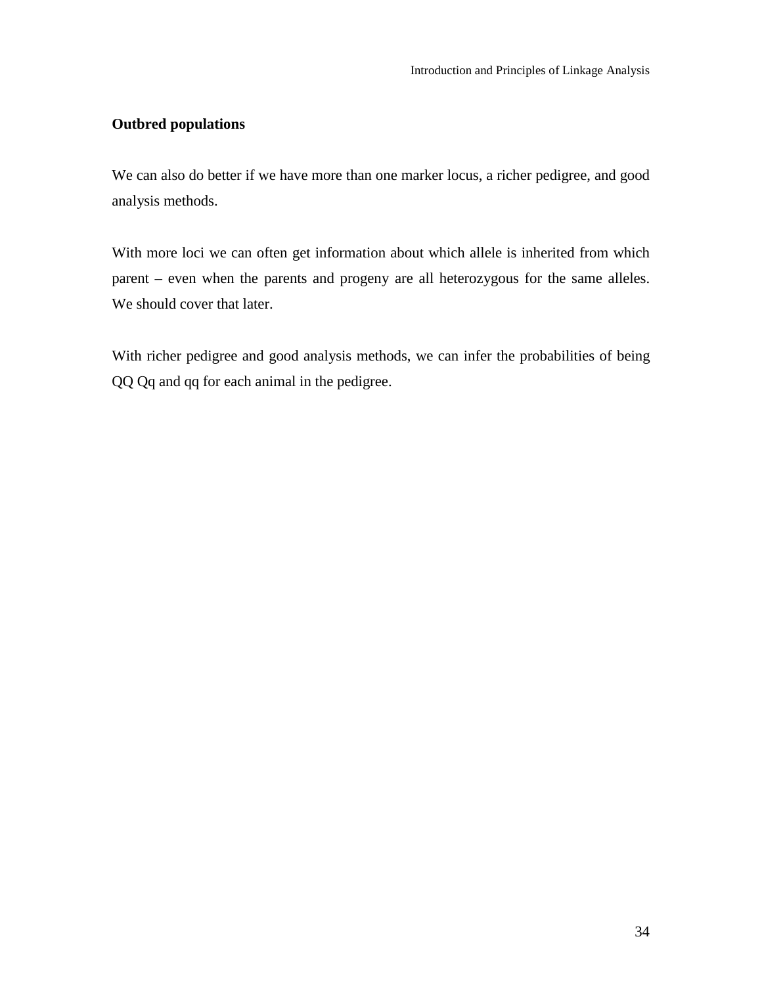## <span id="page-33-0"></span>**Outbred populations**

We can also do better if we have more than one marker locus, a richer pedigree, and good analysis methods.

With more loci we can often get information about which allele is inherited from which parent – even when the parents and progeny are all heterozygous for the same alleles. We should cover that later.

With richer pedigree and good analysis methods, we can infer the probabilities of being QQ Qq and qq for each animal in the pedigree.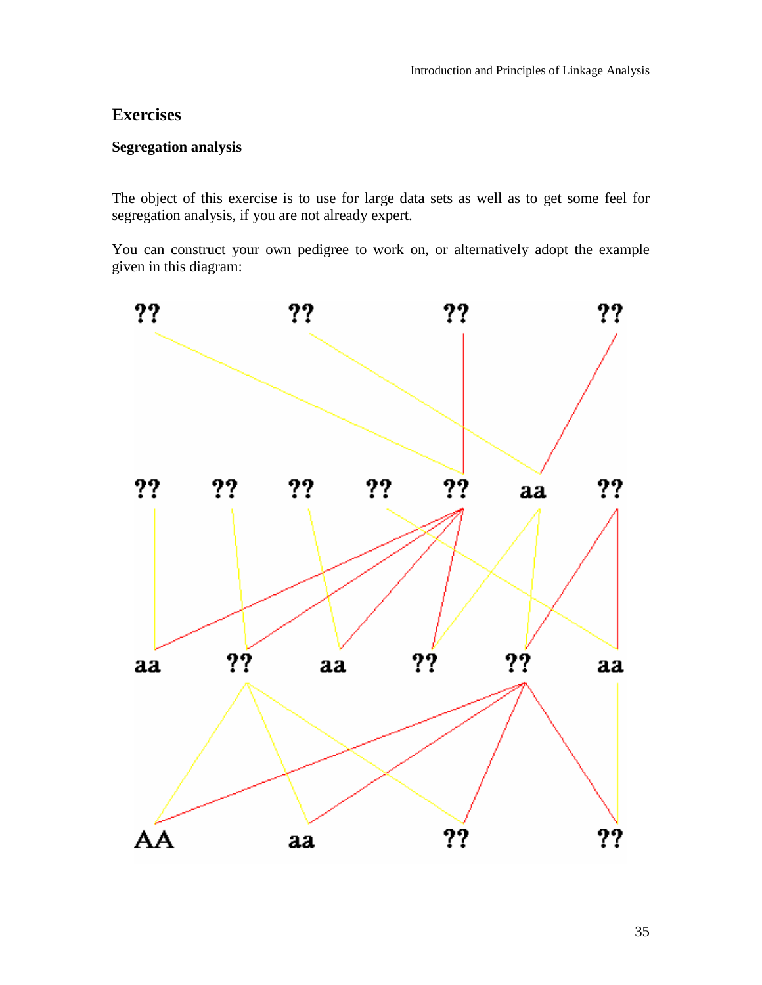## <span id="page-34-0"></span>**Exercises**

## **Segregation analysis**

The object of this exercise is to use for large data sets as well as to get some feel for segregation analysis, if you are not already expert.

You can construct your own pedigree to work on, or alternatively adopt the example given in this diagram:

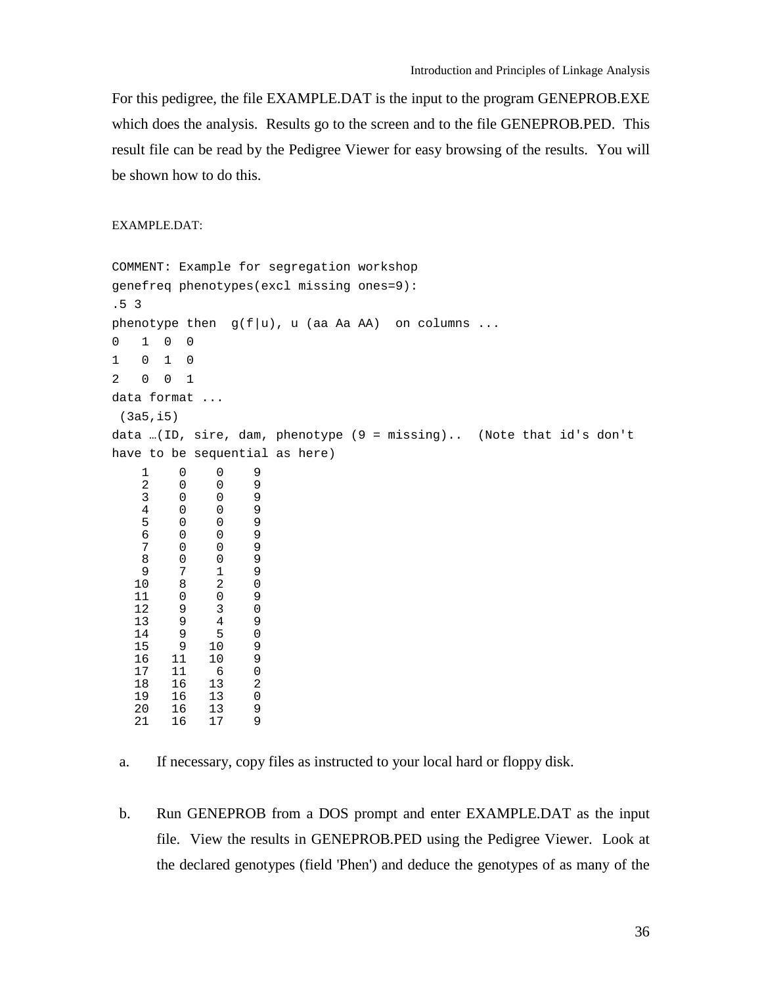For this pedigree, the file EXAMPLE.DAT is the input to the program GENEPROB.EXE which does the analysis. Results go to the screen and to the file GENEPROB.PED. This result file can be read by the Pedigree Viewer for easy browsing of the results. You will be shown how to do this.

#### EXAMPLE.DAT:

```
COMMENT: Example for segregation workshop
genefreq phenotypes(excl missing ones=9):
.5 3
phenotype then g(f|u), u (aa Aa AA) on columns ...
0 1 0 0
1 010
2 001
data format ...
(3a5,i5)
data …(ID, sire, dam, phenotype (9 = missing).. (Note that id's don't
have to be sequential as here)
   1009
   2009
   3009
   4009
   5009
   6009
   7009
   8009
   9719
  10 8 2 0<br>11 0 0 9
  11 0 0 9<br>12 9 3 0
  12 9 3 0
  13 9 4 9<br>14 9 5 0
  14 9 5 0<br>15 9 10 9
           \begin{array}{ccc} 10 & & 9 \\ 10 & & 9 \end{array}16 11 10 9
  17 11 6 0
  18 16 13 2
      16
  20 16 13 9
      16
```
 b. Run GENEPROB from a DOS prompt and enter EXAMPLE.DAT as the input file. View the results in GENEPROB.PED using the Pedigree Viewer. Look at the declared genotypes (field 'Phen') and deduce the genotypes of as many of the

a. If necessary, copy files as instructed to your local hard or floppy disk.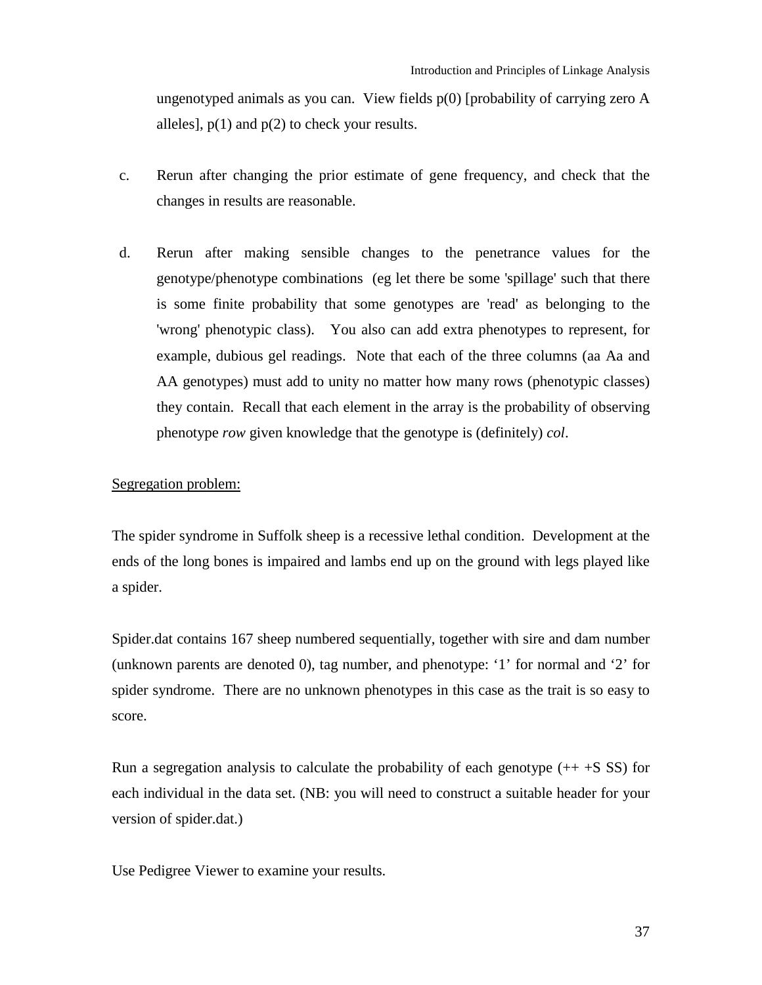ungenotyped animals as you can. View fields  $p(0)$  [probability of carrying zero A alleles],  $p(1)$  and  $p(2)$  to check your results.

- c. Rerun after changing the prior estimate of gene frequency, and check that the changes in results are reasonable.
- d. Rerun after making sensible changes to the penetrance values for the genotype/phenotype combinations (eg let there be some 'spillage' such that there is some finite probability that some genotypes are 'read' as belonging to the 'wrong' phenotypic class). You also can add extra phenotypes to represent, for example, dubious gel readings. Note that each of the three columns (aa Aa and AA genotypes) must add to unity no matter how many rows (phenotypic classes) they contain. Recall that each element in the array is the probability of observing phenotype *row* given knowledge that the genotype is (definitely) *col*.

#### Segregation problem:

The spider syndrome in Suffolk sheep is a recessive lethal condition. Development at the ends of the long bones is impaired and lambs end up on the ground with legs played like a spider.

Spider.dat contains 167 sheep numbered sequentially, together with sire and dam number (unknown parents are denoted 0), tag number, and phenotype: '1' for normal and '2' for spider syndrome. There are no unknown phenotypes in this case as the trait is so easy to score.

Run a segregation analysis to calculate the probability of each genotype  $(+ + S SS)$  for each individual in the data set. (NB: you will need to construct a suitable header for your version of spider.dat.)

Use Pedigree Viewer to examine your results.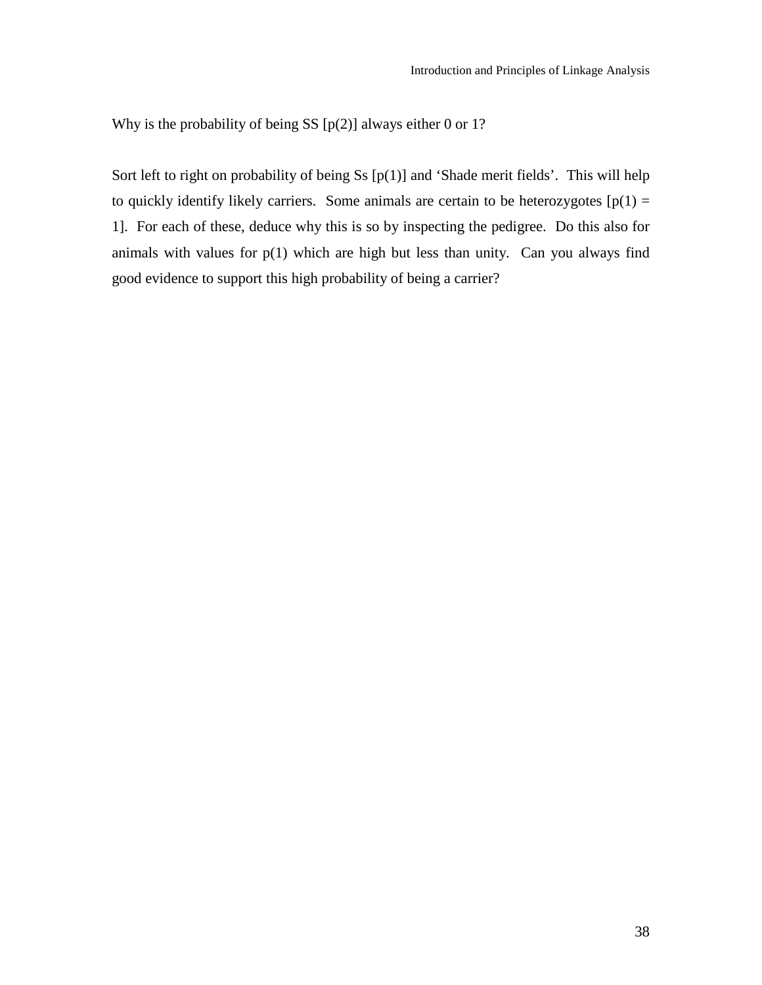Why is the probability of being SS [p(2)] always either 0 or 1?

Sort left to right on probability of being Ss  $[p(1)]$  and 'Shade merit fields'. This will help to quickly identify likely carriers. Some animals are certain to be heterozygotes  $[p(1) =$ 1]. For each of these, deduce why this is so by inspecting the pedigree. Do this also for animals with values for  $p(1)$  which are high but less than unity. Can you always find good evidence to support this high probability of being a carrier?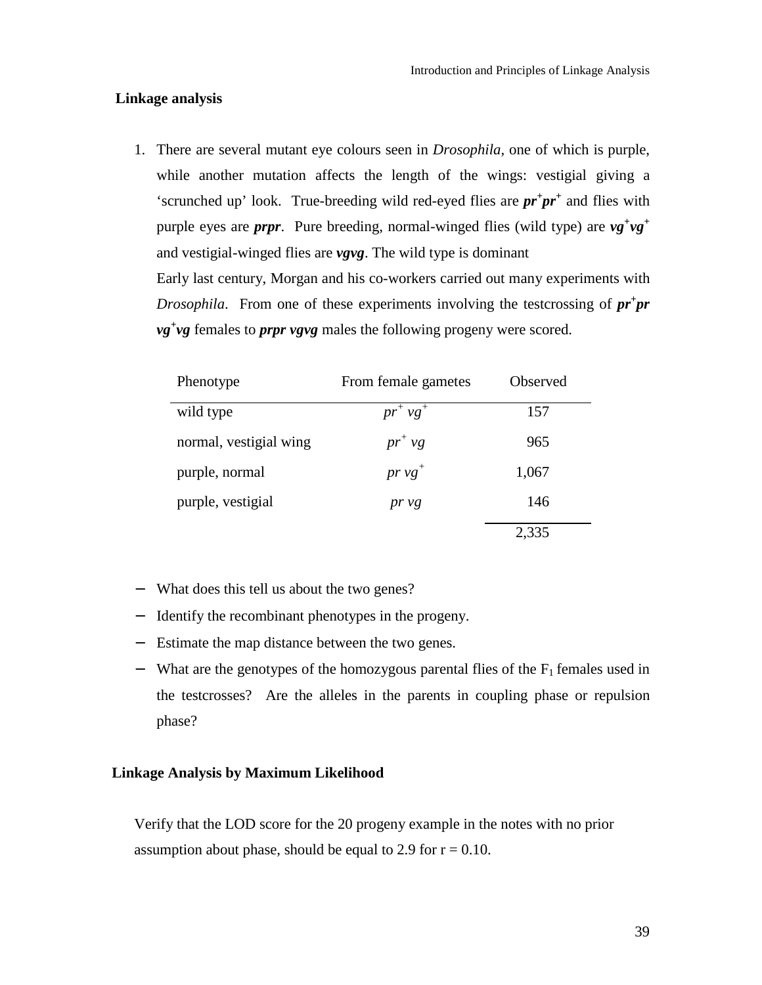#### <span id="page-38-0"></span> **Linkage analysis**

1. There are several mutant eye colours seen in *Drosophila,* one of which is purple, while another mutation affects the length of the wings: vestigial giving a 'scrunched up' look. True-breeding wild red-eyed flies are *pr<sup>+</sup> pr<sup>+</sup>* and flies with purple eyes are *prpr*. Pure breeding, normal-winged flies (wild type) are  $vg^+vg^+$ and vestigial-winged flies are *vgvg*. The wild type is dominant Early last century, Morgan and his co-workers carried out many experiments with *Drosophila*. From one of these experiments involving the testcrossing of  $pr$ <sup>+</sup> $pr$ *vg+ vg* females to *prpr vgvg* males the following progeny were scored.

| Phenotype              | From female gametes | Observed |
|------------------------|---------------------|----------|
| wild type              | $pr^+ v g^+$        | 157      |
| normal, vestigial wing | $pr^{\dagger}$ vg   | 965      |
| purple, normal         | $pr v g^+$          | 1,067    |
| purple, vestigial      | pr vg               | 146      |
|                        |                     | 2,335    |

- − What does this tell us about the two genes?
- − Identify the recombinant phenotypes in the progeny.
- − Estimate the map distance between the two genes.
- $-$  What are the genotypes of the homozygous parental flies of the  $F_1$  females used in the testcrosses? Are the alleles in the parents in coupling phase or repulsion phase?

## **Linkage Analysis by Maximum Likelihood**

Verify that the LOD score for the 20 progeny example in the notes with no prior assumption about phase, should be equal to 2.9 for  $r = 0.10$ .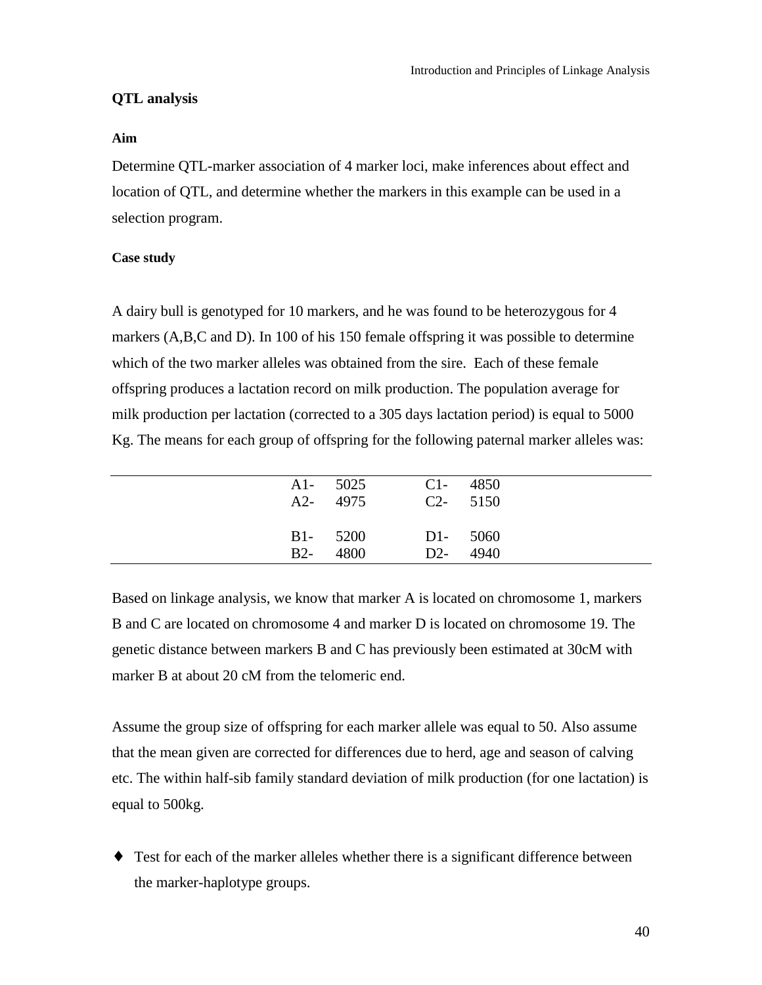## <span id="page-39-0"></span>**QTL analysis**

#### **Aim**

Determine QTL-marker association of 4 marker loci, make inferences about effect and location of QTL, and determine whether the markers in this example can be used in a selection program.

## **Case study**

A dairy bull is genotyped for 10 markers, and he was found to be heterozygous for 4 markers (A,B,C and D). In 100 of his 150 female offspring it was possible to determine which of the two marker alleles was obtained from the sire. Each of these female offspring produces a lactation record on milk production. The population average for milk production per lactation (corrected to a 305 days lactation period) is equal to 5000 Kg. The means for each group of offspring for the following paternal marker alleles was:

|       | $A1 - 5025$<br>A2- 4975 |             | $C1 - 4850$<br>$C2 - 5150$ |  |
|-------|-------------------------|-------------|----------------------------|--|
| $B2-$ | <b>B1-</b> 5200<br>4800 | $D1 - 5060$ | D <sub>2</sub> - 4940      |  |

Based on linkage analysis, we know that marker A is located on chromosome 1, markers B and C are located on chromosome 4 and marker D is located on chromosome 19. The genetic distance between markers B and C has previously been estimated at 30cM with marker B at about 20 cM from the telomeric end.

Assume the group size of offspring for each marker allele was equal to 50. Also assume that the mean given are corrected for differences due to herd, age and season of calving etc. The within half-sib family standard deviation of milk production (for one lactation) is equal to 500kg.

♦ Test for each of the marker alleles whether there is a significant difference between the marker-haplotype groups.